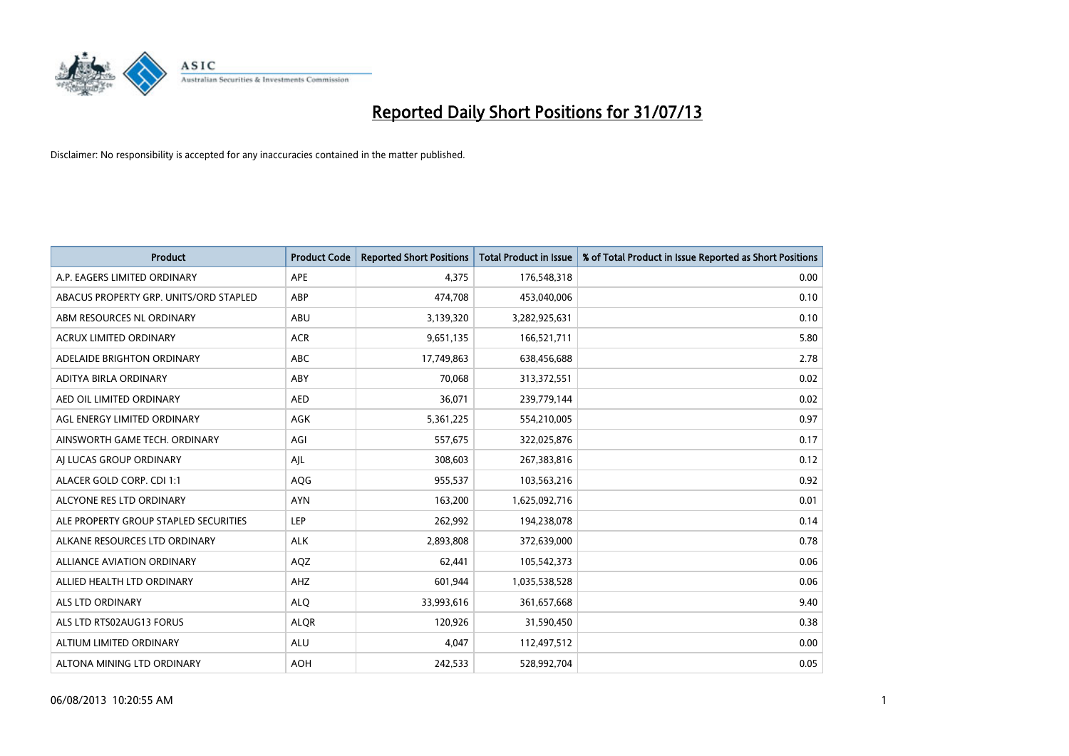

| <b>Product</b>                         | <b>Product Code</b> | <b>Reported Short Positions</b> | <b>Total Product in Issue</b> | % of Total Product in Issue Reported as Short Positions |
|----------------------------------------|---------------------|---------------------------------|-------------------------------|---------------------------------------------------------|
| A.P. EAGERS LIMITED ORDINARY           | APE                 | 4,375                           | 176,548,318                   | 0.00                                                    |
| ABACUS PROPERTY GRP. UNITS/ORD STAPLED | ABP                 | 474,708                         | 453,040,006                   | 0.10                                                    |
| ABM RESOURCES NL ORDINARY              | ABU                 | 3,139,320                       | 3,282,925,631                 | 0.10                                                    |
| <b>ACRUX LIMITED ORDINARY</b>          | <b>ACR</b>          | 9,651,135                       | 166,521,711                   | 5.80                                                    |
| ADELAIDE BRIGHTON ORDINARY             | <b>ABC</b>          | 17,749,863                      | 638,456,688                   | 2.78                                                    |
| ADITYA BIRLA ORDINARY                  | ABY                 | 70,068                          | 313,372,551                   | 0.02                                                    |
| AED OIL LIMITED ORDINARY               | <b>AED</b>          | 36,071                          | 239,779,144                   | 0.02                                                    |
| AGL ENERGY LIMITED ORDINARY            | AGK                 | 5,361,225                       | 554,210,005                   | 0.97                                                    |
| AINSWORTH GAME TECH. ORDINARY          | AGI                 | 557,675                         | 322,025,876                   | 0.17                                                    |
| AI LUCAS GROUP ORDINARY                | AJL                 | 308,603                         | 267,383,816                   | 0.12                                                    |
| ALACER GOLD CORP. CDI 1:1              | AQG                 | 955,537                         | 103,563,216                   | 0.92                                                    |
| ALCYONE RES LTD ORDINARY               | <b>AYN</b>          | 163,200                         | 1,625,092,716                 | 0.01                                                    |
| ALE PROPERTY GROUP STAPLED SECURITIES  | LEP                 | 262,992                         | 194,238,078                   | 0.14                                                    |
| ALKANE RESOURCES LTD ORDINARY          | <b>ALK</b>          | 2,893,808                       | 372,639,000                   | 0.78                                                    |
| ALLIANCE AVIATION ORDINARY             | AQZ                 | 62,441                          | 105,542,373                   | 0.06                                                    |
| ALLIED HEALTH LTD ORDINARY             | AHZ                 | 601,944                         | 1,035,538,528                 | 0.06                                                    |
| ALS LTD ORDINARY                       | <b>ALQ</b>          | 33,993,616                      | 361,657,668                   | 9.40                                                    |
| ALS LTD RTS02AUG13 FORUS               | <b>ALQR</b>         | 120,926                         | 31,590,450                    | 0.38                                                    |
| ALTIUM LIMITED ORDINARY                | <b>ALU</b>          | 4,047                           | 112,497,512                   | 0.00                                                    |
| ALTONA MINING LTD ORDINARY             | <b>AOH</b>          | 242,533                         | 528,992,704                   | 0.05                                                    |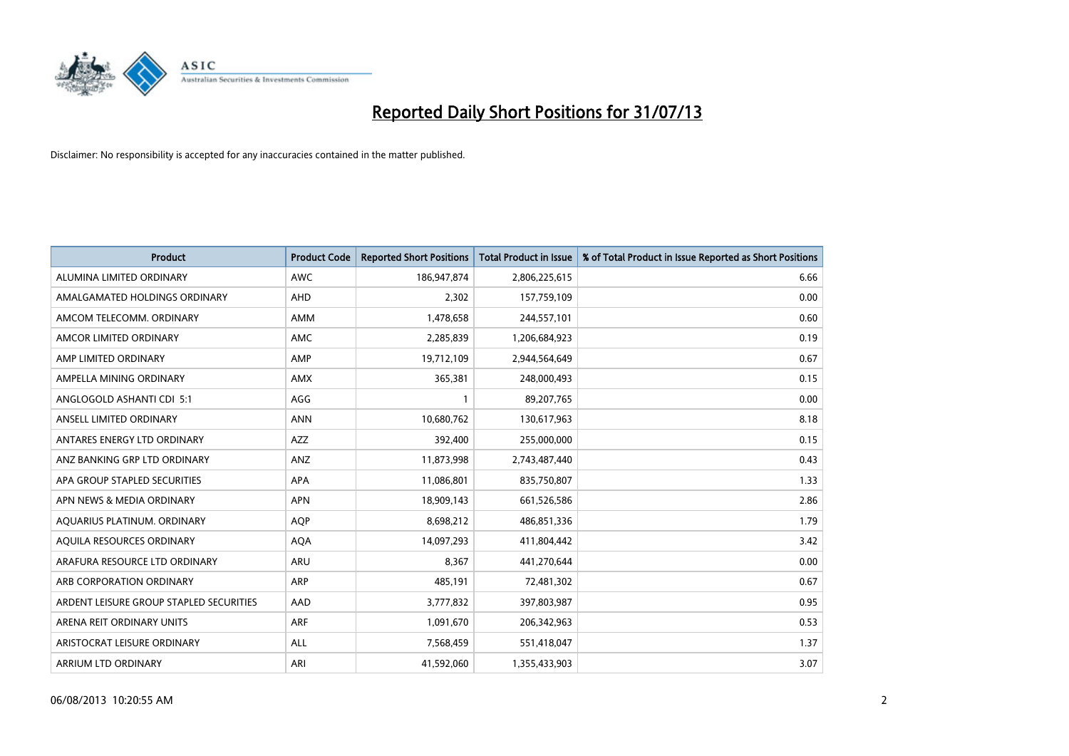

| <b>Product</b>                          | <b>Product Code</b> | <b>Reported Short Positions</b> | <b>Total Product in Issue</b> | % of Total Product in Issue Reported as Short Positions |
|-----------------------------------------|---------------------|---------------------------------|-------------------------------|---------------------------------------------------------|
| ALUMINA LIMITED ORDINARY                | <b>AWC</b>          | 186, 947, 874                   | 2,806,225,615                 | 6.66                                                    |
| AMALGAMATED HOLDINGS ORDINARY           | AHD                 | 2,302                           | 157,759,109                   | 0.00                                                    |
| AMCOM TELECOMM, ORDINARY                | AMM                 | 1,478,658                       | 244,557,101                   | 0.60                                                    |
| AMCOR LIMITED ORDINARY                  | AMC                 | 2,285,839                       | 1,206,684,923                 | 0.19                                                    |
| AMP LIMITED ORDINARY                    | AMP                 | 19,712,109                      | 2,944,564,649                 | 0.67                                                    |
| AMPELLA MINING ORDINARY                 | <b>AMX</b>          | 365,381                         | 248,000,493                   | 0.15                                                    |
| ANGLOGOLD ASHANTI CDI 5:1               | AGG                 | 1                               | 89,207,765                    | 0.00                                                    |
| ANSELL LIMITED ORDINARY                 | <b>ANN</b>          | 10,680,762                      | 130,617,963                   | 8.18                                                    |
| ANTARES ENERGY LTD ORDINARY             | <b>AZZ</b>          | 392,400                         | 255,000,000                   | 0.15                                                    |
| ANZ BANKING GRP LTD ORDINARY            | ANZ                 | 11,873,998                      | 2,743,487,440                 | 0.43                                                    |
| APA GROUP STAPLED SECURITIES            | APA                 | 11,086,801                      | 835,750,807                   | 1.33                                                    |
| APN NEWS & MEDIA ORDINARY               | <b>APN</b>          | 18,909,143                      | 661,526,586                   | 2.86                                                    |
| AQUARIUS PLATINUM. ORDINARY             | <b>AOP</b>          | 8,698,212                       | 486,851,336                   | 1.79                                                    |
| AQUILA RESOURCES ORDINARY               | <b>AQA</b>          | 14,097,293                      | 411,804,442                   | 3.42                                                    |
| ARAFURA RESOURCE LTD ORDINARY           | ARU                 | 8,367                           | 441,270,644                   | 0.00                                                    |
| ARB CORPORATION ORDINARY                | ARP                 | 485,191                         | 72,481,302                    | 0.67                                                    |
| ARDENT LEISURE GROUP STAPLED SECURITIES | AAD                 | 3,777,832                       | 397,803,987                   | 0.95                                                    |
| ARENA REIT ORDINARY UNITS               | <b>ARF</b>          | 1,091,670                       | 206,342,963                   | 0.53                                                    |
| ARISTOCRAT LEISURE ORDINARY             | ALL                 | 7,568,459                       | 551,418,047                   | 1.37                                                    |
| ARRIUM LTD ORDINARY                     | ARI                 | 41,592,060                      | 1,355,433,903                 | 3.07                                                    |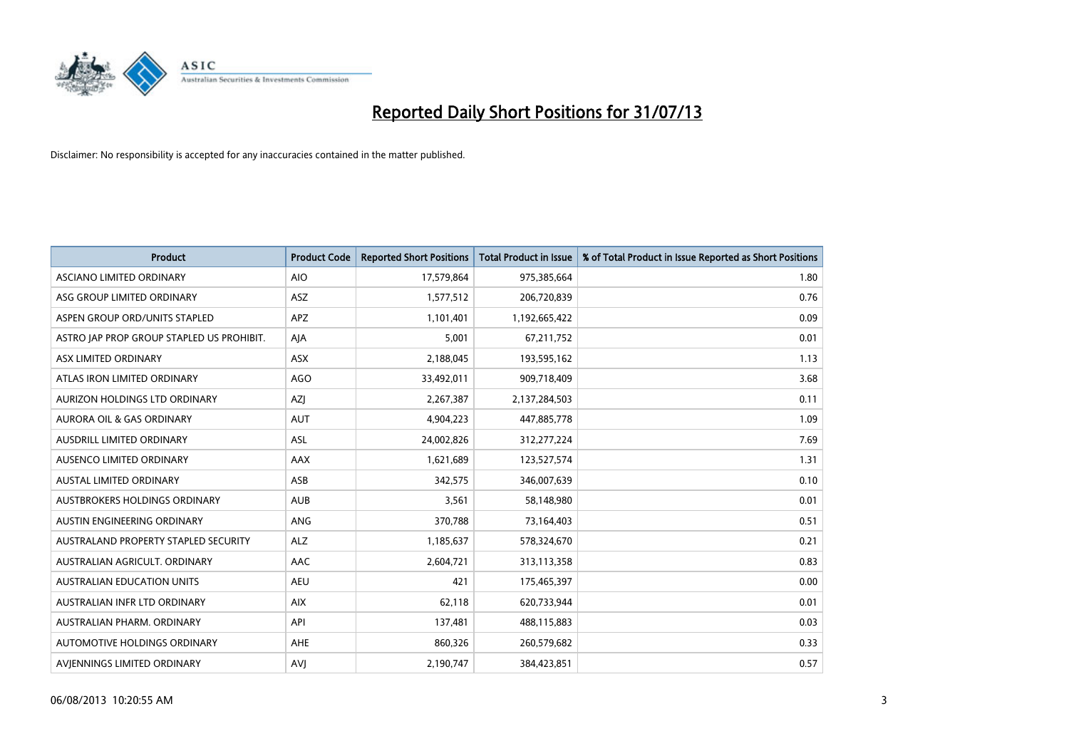

| <b>Product</b>                            | <b>Product Code</b> | <b>Reported Short Positions</b> | <b>Total Product in Issue</b> | % of Total Product in Issue Reported as Short Positions |
|-------------------------------------------|---------------------|---------------------------------|-------------------------------|---------------------------------------------------------|
| ASCIANO LIMITED ORDINARY                  | <b>AIO</b>          | 17,579,864                      | 975,385,664                   | 1.80                                                    |
| ASG GROUP LIMITED ORDINARY                | ASZ                 | 1,577,512                       | 206,720,839                   | 0.76                                                    |
| ASPEN GROUP ORD/UNITS STAPLED             | <b>APZ</b>          | 1,101,401                       | 1,192,665,422                 | 0.09                                                    |
| ASTRO JAP PROP GROUP STAPLED US PROHIBIT. | AJA                 | 5,001                           | 67,211,752                    | 0.01                                                    |
| ASX LIMITED ORDINARY                      | ASX                 | 2,188,045                       | 193,595,162                   | 1.13                                                    |
| ATLAS IRON LIMITED ORDINARY               | <b>AGO</b>          | 33,492,011                      | 909,718,409                   | 3.68                                                    |
| AURIZON HOLDINGS LTD ORDINARY             | AZJ                 | 2,267,387                       | 2,137,284,503                 | 0.11                                                    |
| <b>AURORA OIL &amp; GAS ORDINARY</b>      | <b>AUT</b>          | 4,904,223                       | 447,885,778                   | 1.09                                                    |
| AUSDRILL LIMITED ORDINARY                 | ASL                 | 24,002,826                      | 312,277,224                   | 7.69                                                    |
| AUSENCO LIMITED ORDINARY                  | AAX                 | 1,621,689                       | 123,527,574                   | 1.31                                                    |
| AUSTAL LIMITED ORDINARY                   | ASB                 | 342,575                         | 346,007,639                   | 0.10                                                    |
| AUSTBROKERS HOLDINGS ORDINARY             | <b>AUB</b>          | 3,561                           | 58,148,980                    | 0.01                                                    |
| AUSTIN ENGINEERING ORDINARY               | ANG                 | 370,788                         | 73,164,403                    | 0.51                                                    |
| AUSTRALAND PROPERTY STAPLED SECURITY      | <b>ALZ</b>          | 1,185,637                       | 578,324,670                   | 0.21                                                    |
| AUSTRALIAN AGRICULT, ORDINARY             | AAC                 | 2,604,721                       | 313,113,358                   | 0.83                                                    |
| AUSTRALIAN EDUCATION UNITS                | <b>AEU</b>          | 421                             | 175,465,397                   | 0.00                                                    |
| AUSTRALIAN INFR LTD ORDINARY              | <b>AIX</b>          | 62,118                          | 620,733,944                   | 0.01                                                    |
| AUSTRALIAN PHARM. ORDINARY                | API                 | 137,481                         | 488,115,883                   | 0.03                                                    |
| AUTOMOTIVE HOLDINGS ORDINARY              | AHE                 | 860,326                         | 260,579,682                   | 0.33                                                    |
| AVIENNINGS LIMITED ORDINARY               | <b>AVJ</b>          | 2,190,747                       | 384,423,851                   | 0.57                                                    |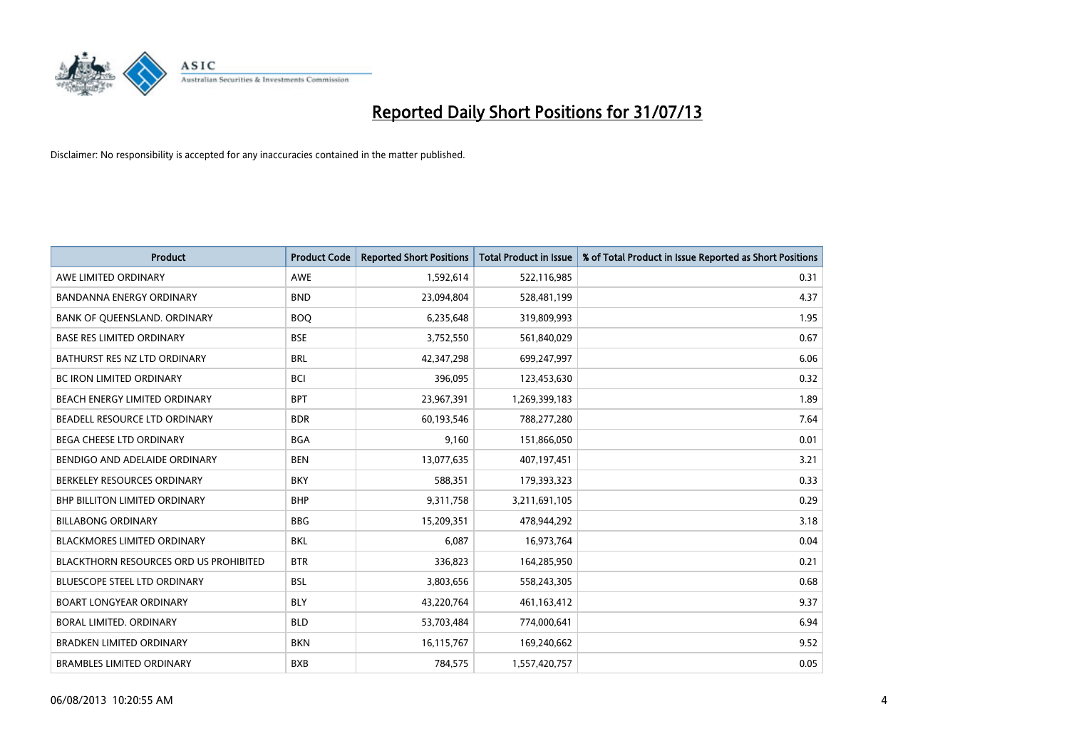

| <b>Product</b>                                | <b>Product Code</b> | <b>Reported Short Positions</b> | <b>Total Product in Issue</b> | % of Total Product in Issue Reported as Short Positions |
|-----------------------------------------------|---------------------|---------------------------------|-------------------------------|---------------------------------------------------------|
| AWE LIMITED ORDINARY                          | <b>AWE</b>          | 1,592,614                       | 522,116,985                   | 0.31                                                    |
| BANDANNA ENERGY ORDINARY                      | <b>BND</b>          | 23,094,804                      | 528,481,199                   | 4.37                                                    |
| BANK OF QUEENSLAND. ORDINARY                  | <b>BOQ</b>          | 6,235,648                       | 319,809,993                   | 1.95                                                    |
| <b>BASE RES LIMITED ORDINARY</b>              | <b>BSE</b>          | 3,752,550                       | 561,840,029                   | 0.67                                                    |
| BATHURST RES NZ LTD ORDINARY                  | <b>BRL</b>          | 42,347,298                      | 699,247,997                   | 6.06                                                    |
| <b>BC IRON LIMITED ORDINARY</b>               | <b>BCI</b>          | 396,095                         | 123,453,630                   | 0.32                                                    |
| BEACH ENERGY LIMITED ORDINARY                 | <b>BPT</b>          | 23,967,391                      | 1,269,399,183                 | 1.89                                                    |
| BEADELL RESOURCE LTD ORDINARY                 | <b>BDR</b>          | 60,193,546                      | 788,277,280                   | 7.64                                                    |
| BEGA CHEESE LTD ORDINARY                      | <b>BGA</b>          | 9,160                           | 151,866,050                   | 0.01                                                    |
| BENDIGO AND ADELAIDE ORDINARY                 | <b>BEN</b>          | 13,077,635                      | 407,197,451                   | 3.21                                                    |
| BERKELEY RESOURCES ORDINARY                   | <b>BKY</b>          | 588,351                         | 179,393,323                   | 0.33                                                    |
| BHP BILLITON LIMITED ORDINARY                 | <b>BHP</b>          | 9,311,758                       | 3,211,691,105                 | 0.29                                                    |
| <b>BILLABONG ORDINARY</b>                     | <b>BBG</b>          | 15,209,351                      | 478,944,292                   | 3.18                                                    |
| <b>BLACKMORES LIMITED ORDINARY</b>            | <b>BKL</b>          | 6,087                           | 16,973,764                    | 0.04                                                    |
| <b>BLACKTHORN RESOURCES ORD US PROHIBITED</b> | <b>BTR</b>          | 336,823                         | 164,285,950                   | 0.21                                                    |
| BLUESCOPE STEEL LTD ORDINARY                  | <b>BSL</b>          | 3,803,656                       | 558,243,305                   | 0.68                                                    |
| <b>BOART LONGYEAR ORDINARY</b>                | <b>BLY</b>          | 43,220,764                      | 461,163,412                   | 9.37                                                    |
| BORAL LIMITED, ORDINARY                       | <b>BLD</b>          | 53,703,484                      | 774,000,641                   | 6.94                                                    |
| <b>BRADKEN LIMITED ORDINARY</b>               | <b>BKN</b>          | 16,115,767                      | 169,240,662                   | 9.52                                                    |
| <b>BRAMBLES LIMITED ORDINARY</b>              | <b>BXB</b>          | 784,575                         | 1,557,420,757                 | 0.05                                                    |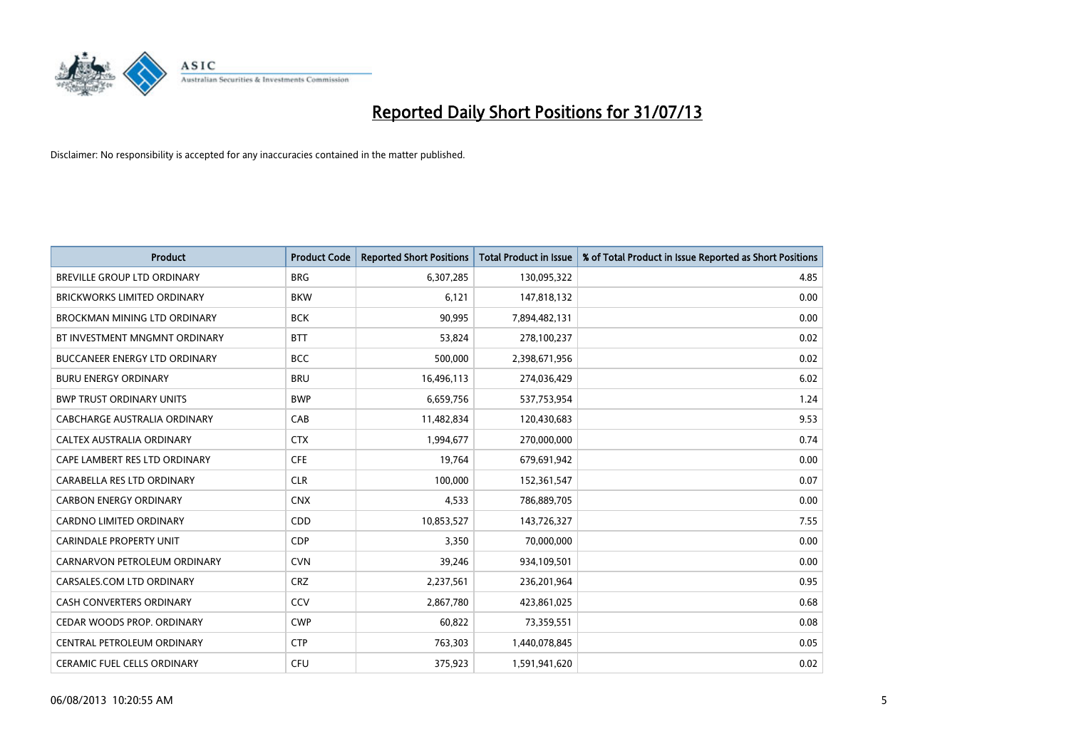

| <b>Product</b>                       | <b>Product Code</b> | <b>Reported Short Positions</b> | <b>Total Product in Issue</b> | % of Total Product in Issue Reported as Short Positions |
|--------------------------------------|---------------------|---------------------------------|-------------------------------|---------------------------------------------------------|
| BREVILLE GROUP LTD ORDINARY          | <b>BRG</b>          | 6,307,285                       | 130,095,322                   | 4.85                                                    |
| <b>BRICKWORKS LIMITED ORDINARY</b>   | <b>BKW</b>          | 6,121                           | 147,818,132                   | 0.00                                                    |
| BROCKMAN MINING LTD ORDINARY         | <b>BCK</b>          | 90,995                          | 7,894,482,131                 | 0.00                                                    |
| BT INVESTMENT MNGMNT ORDINARY        | <b>BTT</b>          | 53,824                          | 278,100,237                   | 0.02                                                    |
| <b>BUCCANEER ENERGY LTD ORDINARY</b> | <b>BCC</b>          | 500,000                         | 2,398,671,956                 | 0.02                                                    |
| <b>BURU ENERGY ORDINARY</b>          | <b>BRU</b>          | 16,496,113                      | 274,036,429                   | 6.02                                                    |
| <b>BWP TRUST ORDINARY UNITS</b>      | <b>BWP</b>          | 6,659,756                       | 537,753,954                   | 1.24                                                    |
| CABCHARGE AUSTRALIA ORDINARY         | CAB                 | 11,482,834                      | 120,430,683                   | 9.53                                                    |
| CALTEX AUSTRALIA ORDINARY            | <b>CTX</b>          | 1,994,677                       | 270,000,000                   | 0.74                                                    |
| CAPE LAMBERT RES LTD ORDINARY        | <b>CFE</b>          | 19,764                          | 679,691,942                   | 0.00                                                    |
| CARABELLA RES LTD ORDINARY           | <b>CLR</b>          | 100,000                         | 152,361,547                   | 0.07                                                    |
| <b>CARBON ENERGY ORDINARY</b>        | <b>CNX</b>          | 4,533                           | 786,889,705                   | 0.00                                                    |
| <b>CARDNO LIMITED ORDINARY</b>       | CDD                 | 10,853,527                      | 143,726,327                   | 7.55                                                    |
| <b>CARINDALE PROPERTY UNIT</b>       | <b>CDP</b>          | 3,350                           | 70,000,000                    | 0.00                                                    |
| CARNARVON PETROLEUM ORDINARY         | <b>CVN</b>          | 39,246                          | 934,109,501                   | 0.00                                                    |
| CARSALES.COM LTD ORDINARY            | <b>CRZ</b>          | 2,237,561                       | 236,201,964                   | 0.95                                                    |
| CASH CONVERTERS ORDINARY             | CCV                 | 2,867,780                       | 423,861,025                   | 0.68                                                    |
| CEDAR WOODS PROP. ORDINARY           | <b>CWP</b>          | 60,822                          | 73,359,551                    | 0.08                                                    |
| CENTRAL PETROLEUM ORDINARY           | <b>CTP</b>          | 763,303                         | 1,440,078,845                 | 0.05                                                    |
| <b>CERAMIC FUEL CELLS ORDINARY</b>   | <b>CFU</b>          | 375,923                         | 1,591,941,620                 | 0.02                                                    |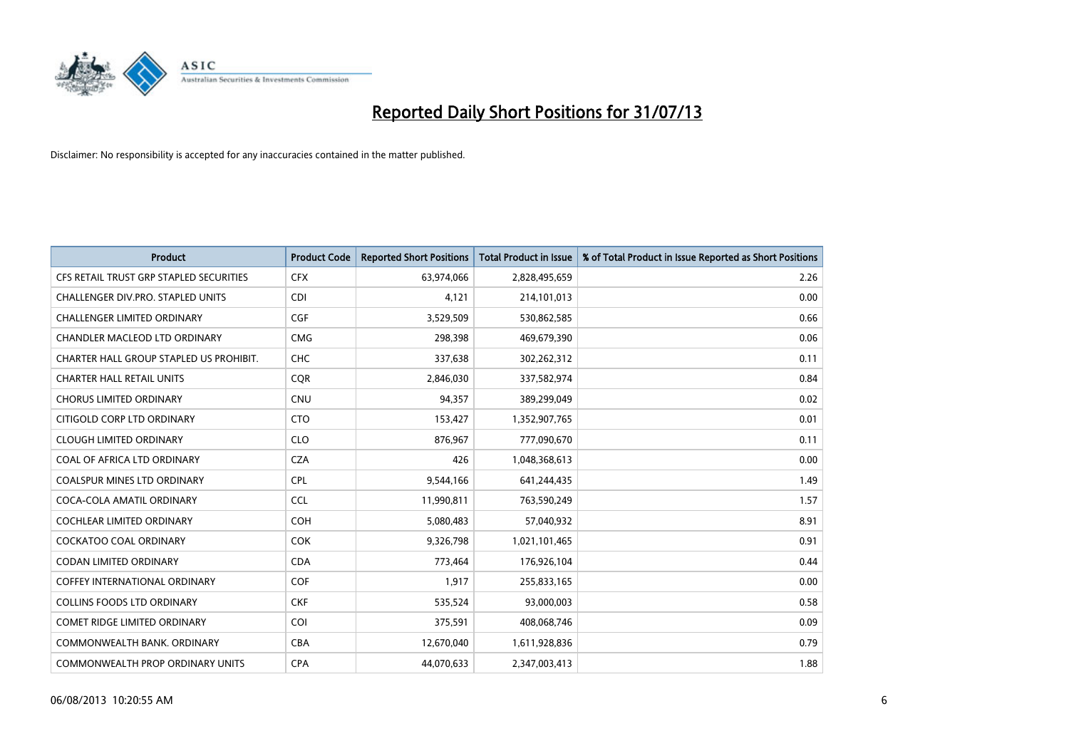

| <b>Product</b>                          | <b>Product Code</b> | <b>Reported Short Positions</b> | <b>Total Product in Issue</b> | % of Total Product in Issue Reported as Short Positions |
|-----------------------------------------|---------------------|---------------------------------|-------------------------------|---------------------------------------------------------|
| CFS RETAIL TRUST GRP STAPLED SECURITIES | <b>CFX</b>          | 63,974,066                      | 2,828,495,659                 | 2.26                                                    |
| CHALLENGER DIV.PRO. STAPLED UNITS       | CDI                 | 4,121                           | 214,101,013                   | 0.00                                                    |
| <b>CHALLENGER LIMITED ORDINARY</b>      | <b>CGF</b>          | 3,529,509                       | 530,862,585                   | 0.66                                                    |
| CHANDLER MACLEOD LTD ORDINARY           | <b>CMG</b>          | 298,398                         | 469,679,390                   | 0.06                                                    |
| CHARTER HALL GROUP STAPLED US PROHIBIT. | <b>CHC</b>          | 337,638                         | 302,262,312                   | 0.11                                                    |
| <b>CHARTER HALL RETAIL UNITS</b>        | CQR                 | 2,846,030                       | 337,582,974                   | 0.84                                                    |
| <b>CHORUS LIMITED ORDINARY</b>          | CNU                 | 94,357                          | 389,299,049                   | 0.02                                                    |
| CITIGOLD CORP LTD ORDINARY              | <b>CTO</b>          | 153,427                         | 1,352,907,765                 | 0.01                                                    |
| <b>CLOUGH LIMITED ORDINARY</b>          | <b>CLO</b>          | 876,967                         | 777,090,670                   | 0.11                                                    |
| COAL OF AFRICA LTD ORDINARY             | <b>CZA</b>          | 426                             | 1,048,368,613                 | 0.00                                                    |
| <b>COALSPUR MINES LTD ORDINARY</b>      | <b>CPL</b>          | 9,544,166                       | 641,244,435                   | 1.49                                                    |
| COCA-COLA AMATIL ORDINARY               | <b>CCL</b>          | 11,990,811                      | 763,590,249                   | 1.57                                                    |
| <b>COCHLEAR LIMITED ORDINARY</b>        | <b>COH</b>          | 5,080,483                       | 57,040,932                    | 8.91                                                    |
| <b>COCKATOO COAL ORDINARY</b>           | <b>COK</b>          | 9,326,798                       | 1,021,101,465                 | 0.91                                                    |
| <b>CODAN LIMITED ORDINARY</b>           | <b>CDA</b>          | 773,464                         | 176,926,104                   | 0.44                                                    |
| <b>COFFEY INTERNATIONAL ORDINARY</b>    | <b>COF</b>          | 1,917                           | 255,833,165                   | 0.00                                                    |
| <b>COLLINS FOODS LTD ORDINARY</b>       | <b>CKF</b>          | 535,524                         | 93,000,003                    | 0.58                                                    |
| <b>COMET RIDGE LIMITED ORDINARY</b>     | <b>COI</b>          | 375,591                         | 408,068,746                   | 0.09                                                    |
| COMMONWEALTH BANK, ORDINARY             | <b>CBA</b>          | 12,670,040                      | 1,611,928,836                 | 0.79                                                    |
| COMMONWEALTH PROP ORDINARY UNITS        | <b>CPA</b>          | 44,070,633                      | 2,347,003,413                 | 1.88                                                    |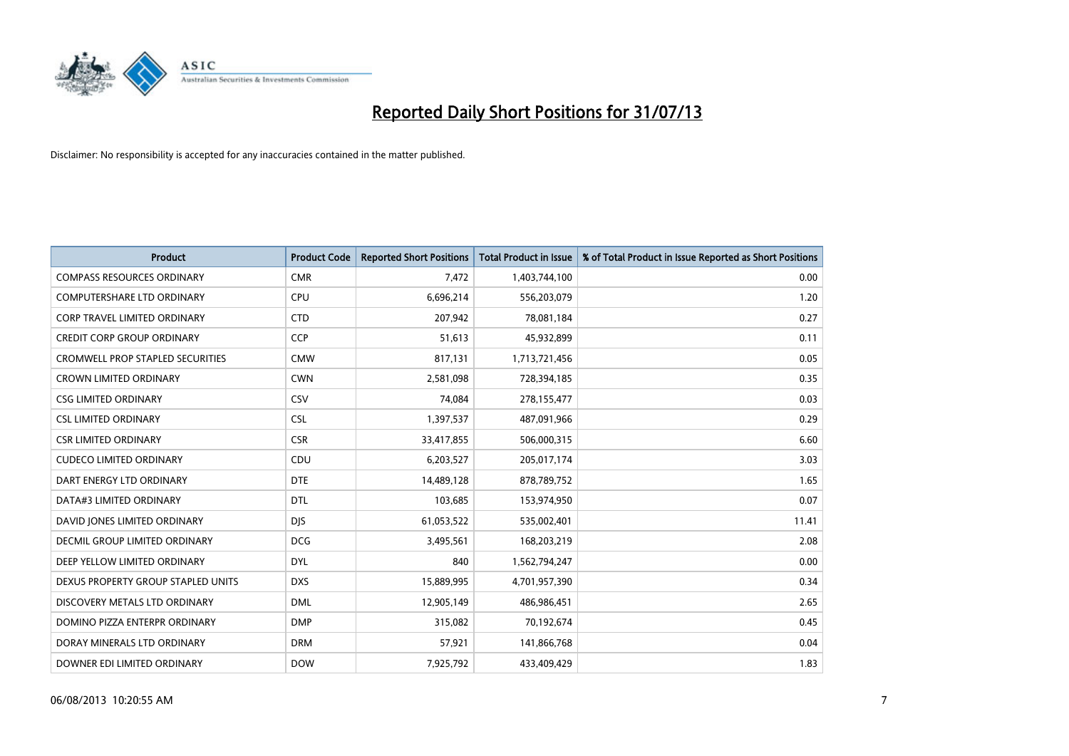

| <b>Product</b>                          | <b>Product Code</b> | <b>Reported Short Positions</b> | Total Product in Issue | % of Total Product in Issue Reported as Short Positions |
|-----------------------------------------|---------------------|---------------------------------|------------------------|---------------------------------------------------------|
| <b>COMPASS RESOURCES ORDINARY</b>       | <b>CMR</b>          | 7,472                           | 1,403,744,100          | 0.00                                                    |
| <b>COMPUTERSHARE LTD ORDINARY</b>       | <b>CPU</b>          | 6,696,214                       | 556,203,079            | 1.20                                                    |
| <b>CORP TRAVEL LIMITED ORDINARY</b>     | <b>CTD</b>          | 207,942                         | 78,081,184             | 0.27                                                    |
| CREDIT CORP GROUP ORDINARY              | <b>CCP</b>          | 51,613                          | 45,932,899             | 0.11                                                    |
| <b>CROMWELL PROP STAPLED SECURITIES</b> | <b>CMW</b>          | 817,131                         | 1,713,721,456          | 0.05                                                    |
| <b>CROWN LIMITED ORDINARY</b>           | <b>CWN</b>          | 2,581,098                       | 728,394,185            | 0.35                                                    |
| <b>CSG LIMITED ORDINARY</b>             | CSV                 | 74,084                          | 278,155,477            | 0.03                                                    |
| <b>CSL LIMITED ORDINARY</b>             | <b>CSL</b>          | 1,397,537                       | 487,091,966            | 0.29                                                    |
| <b>CSR LIMITED ORDINARY</b>             | <b>CSR</b>          | 33,417,855                      | 506,000,315            | 6.60                                                    |
| <b>CUDECO LIMITED ORDINARY</b>          | CDU                 | 6,203,527                       | 205,017,174            | 3.03                                                    |
| DART ENERGY LTD ORDINARY                | <b>DTE</b>          | 14,489,128                      | 878,789,752            | 1.65                                                    |
| DATA#3 LIMITED ORDINARY                 | <b>DTL</b>          | 103,685                         | 153,974,950            | 0.07                                                    |
| DAVID JONES LIMITED ORDINARY            | <b>DJS</b>          | 61,053,522                      | 535,002,401            | 11.41                                                   |
| DECMIL GROUP LIMITED ORDINARY           | <b>DCG</b>          | 3,495,561                       | 168,203,219            | 2.08                                                    |
| DEEP YELLOW LIMITED ORDINARY            | <b>DYL</b>          | 840                             | 1,562,794,247          | 0.00                                                    |
| DEXUS PROPERTY GROUP STAPLED UNITS      | <b>DXS</b>          | 15,889,995                      | 4,701,957,390          | 0.34                                                    |
| DISCOVERY METALS LTD ORDINARY           | <b>DML</b>          | 12,905,149                      | 486,986,451            | 2.65                                                    |
| DOMINO PIZZA ENTERPR ORDINARY           | <b>DMP</b>          | 315,082                         | 70,192,674             | 0.45                                                    |
| DORAY MINERALS LTD ORDINARY             | <b>DRM</b>          | 57,921                          | 141,866,768            | 0.04                                                    |
| DOWNER EDI LIMITED ORDINARY             | <b>DOW</b>          | 7,925,792                       | 433,409,429            | 1.83                                                    |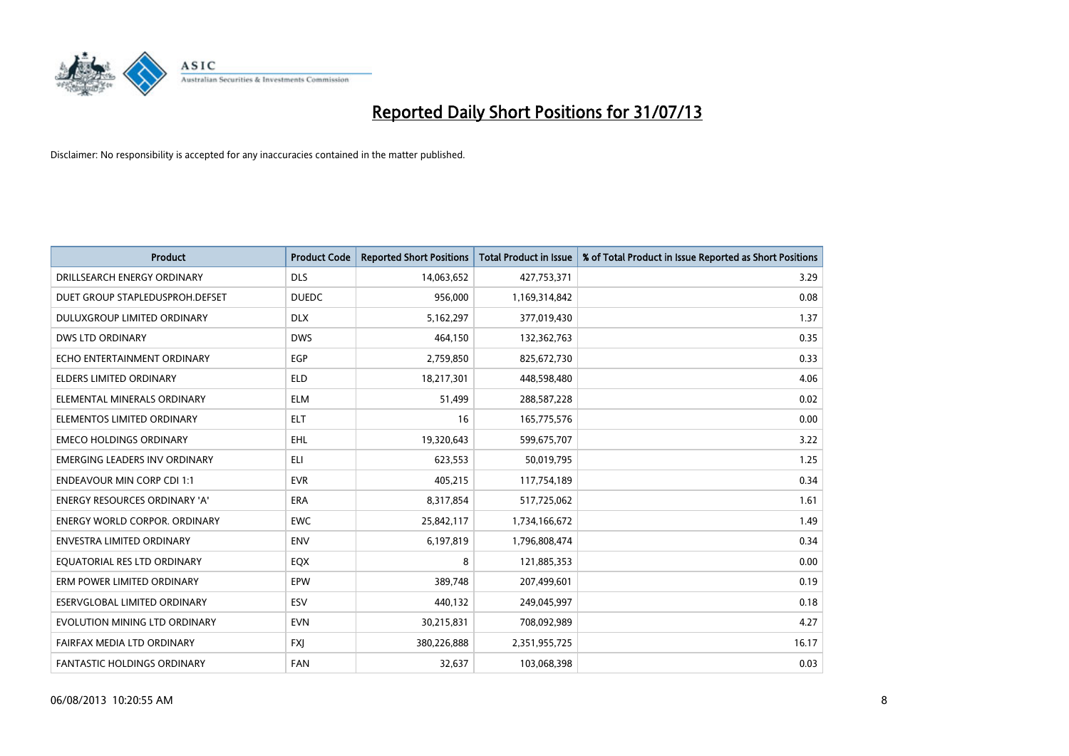

| <b>Product</b>                       | <b>Product Code</b> | <b>Reported Short Positions</b> | <b>Total Product in Issue</b> | % of Total Product in Issue Reported as Short Positions |
|--------------------------------------|---------------------|---------------------------------|-------------------------------|---------------------------------------------------------|
| DRILLSEARCH ENERGY ORDINARY          | <b>DLS</b>          | 14,063,652                      | 427,753,371                   | 3.29                                                    |
| DUET GROUP STAPLEDUSPROH.DEFSET      | <b>DUEDC</b>        | 956,000                         | 1,169,314,842                 | 0.08                                                    |
| <b>DULUXGROUP LIMITED ORDINARY</b>   | <b>DLX</b>          | 5,162,297                       | 377,019,430                   | 1.37                                                    |
| <b>DWS LTD ORDINARY</b>              | <b>DWS</b>          | 464,150                         | 132,362,763                   | 0.35                                                    |
| ECHO ENTERTAINMENT ORDINARY          | <b>EGP</b>          | 2,759,850                       | 825,672,730                   | 0.33                                                    |
| <b>ELDERS LIMITED ORDINARY</b>       | <b>ELD</b>          | 18,217,301                      | 448,598,480                   | 4.06                                                    |
| ELEMENTAL MINERALS ORDINARY          | <b>ELM</b>          | 51,499                          | 288,587,228                   | 0.02                                                    |
| ELEMENTOS LIMITED ORDINARY           | <b>ELT</b>          | 16                              | 165,775,576                   | 0.00                                                    |
| <b>EMECO HOLDINGS ORDINARY</b>       | <b>EHL</b>          | 19,320,643                      | 599,675,707                   | 3.22                                                    |
| <b>EMERGING LEADERS INV ORDINARY</b> | ELI                 | 623,553                         | 50,019,795                    | 1.25                                                    |
| <b>ENDEAVOUR MIN CORP CDI 1:1</b>    | <b>EVR</b>          | 405,215                         | 117,754,189                   | 0.34                                                    |
| <b>ENERGY RESOURCES ORDINARY 'A'</b> | ERA                 | 8,317,854                       | 517,725,062                   | 1.61                                                    |
| <b>ENERGY WORLD CORPOR. ORDINARY</b> | <b>EWC</b>          | 25,842,117                      | 1,734,166,672                 | 1.49                                                    |
| <b>ENVESTRA LIMITED ORDINARY</b>     | <b>ENV</b>          | 6,197,819                       | 1,796,808,474                 | 0.34                                                    |
| EQUATORIAL RES LTD ORDINARY          | EQX                 | 8                               | 121,885,353                   | 0.00                                                    |
| ERM POWER LIMITED ORDINARY           | EPW                 | 389,748                         | 207,499,601                   | 0.19                                                    |
| ESERVGLOBAL LIMITED ORDINARY         | ESV                 | 440,132                         | 249,045,997                   | 0.18                                                    |
| EVOLUTION MINING LTD ORDINARY        | <b>EVN</b>          | 30,215,831                      | 708,092,989                   | 4.27                                                    |
| FAIRFAX MEDIA LTD ORDINARY           | <b>FXI</b>          | 380,226,888                     | 2,351,955,725                 | 16.17                                                   |
| FANTASTIC HOLDINGS ORDINARY          | <b>FAN</b>          | 32,637                          | 103,068,398                   | 0.03                                                    |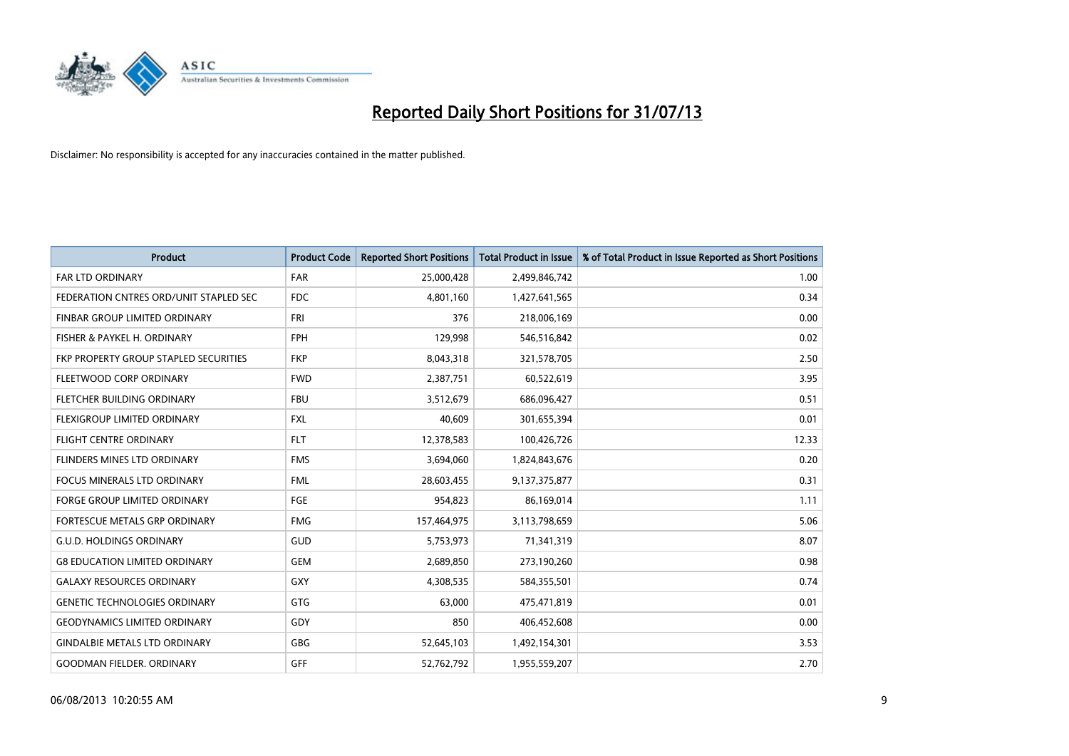

| <b>Product</b>                         | <b>Product Code</b> | <b>Reported Short Positions</b> | <b>Total Product in Issue</b> | % of Total Product in Issue Reported as Short Positions |
|----------------------------------------|---------------------|---------------------------------|-------------------------------|---------------------------------------------------------|
| <b>FAR LTD ORDINARY</b>                | <b>FAR</b>          | 25,000,428                      | 2,499,846,742                 | 1.00                                                    |
| FEDERATION CNTRES ORD/UNIT STAPLED SEC | <b>FDC</b>          | 4,801,160                       | 1,427,641,565                 | 0.34                                                    |
| <b>FINBAR GROUP LIMITED ORDINARY</b>   | FRI                 | 376                             | 218,006,169                   | 0.00                                                    |
| FISHER & PAYKEL H. ORDINARY            | <b>FPH</b>          | 129,998                         | 546,516,842                   | 0.02                                                    |
| FKP PROPERTY GROUP STAPLED SECURITIES  | <b>FKP</b>          | 8,043,318                       | 321,578,705                   | 2.50                                                    |
| FLEETWOOD CORP ORDINARY                | <b>FWD</b>          | 2,387,751                       | 60,522,619                    | 3.95                                                    |
| FLETCHER BUILDING ORDINARY             | <b>FBU</b>          | 3,512,679                       | 686,096,427                   | 0.51                                                    |
| <b>FLEXIGROUP LIMITED ORDINARY</b>     | FXL                 | 40,609                          | 301,655,394                   | 0.01                                                    |
| FLIGHT CENTRE ORDINARY                 | <b>FLT</b>          | 12,378,583                      | 100,426,726                   | 12.33                                                   |
| FLINDERS MINES LTD ORDINARY            | <b>FMS</b>          | 3,694,060                       | 1,824,843,676                 | 0.20                                                    |
| FOCUS MINERALS LTD ORDINARY            | <b>FML</b>          | 28,603,455                      | 9,137,375,877                 | 0.31                                                    |
| <b>FORGE GROUP LIMITED ORDINARY</b>    | FGE                 | 954,823                         | 86,169,014                    | 1.11                                                    |
| FORTESCUE METALS GRP ORDINARY          | <b>FMG</b>          | 157,464,975                     | 3,113,798,659                 | 5.06                                                    |
| <b>G.U.D. HOLDINGS ORDINARY</b>        | GUD                 | 5,753,973                       | 71,341,319                    | 8.07                                                    |
| <b>G8 EDUCATION LIMITED ORDINARY</b>   | <b>GEM</b>          | 2,689,850                       | 273,190,260                   | 0.98                                                    |
| <b>GALAXY RESOURCES ORDINARY</b>       | GXY                 | 4,308,535                       | 584,355,501                   | 0.74                                                    |
| <b>GENETIC TECHNOLOGIES ORDINARY</b>   | GTG                 | 63,000                          | 475,471,819                   | 0.01                                                    |
| <b>GEODYNAMICS LIMITED ORDINARY</b>    | GDY                 | 850                             | 406,452,608                   | 0.00                                                    |
| <b>GINDALBIE METALS LTD ORDINARY</b>   | GBG                 | 52,645,103                      | 1,492,154,301                 | 3.53                                                    |
| <b>GOODMAN FIELDER, ORDINARY</b>       | GFF                 | 52,762,792                      | 1,955,559,207                 | 2.70                                                    |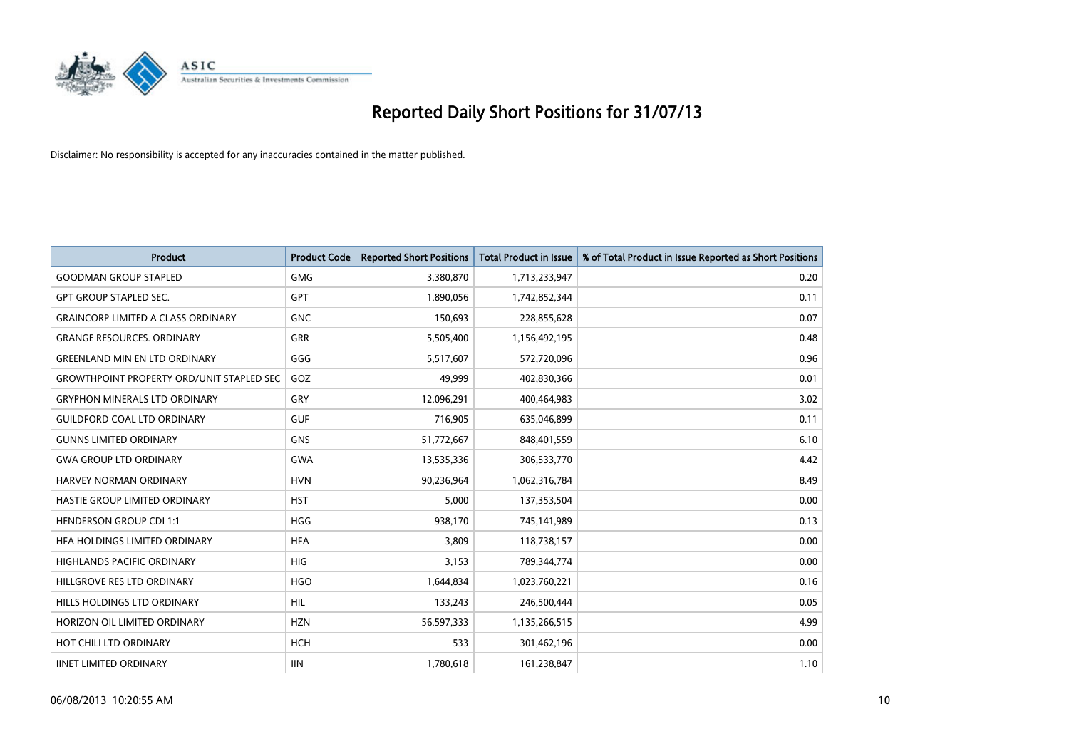

| <b>Product</b>                                   | <b>Product Code</b> | <b>Reported Short Positions</b> | <b>Total Product in Issue</b> | % of Total Product in Issue Reported as Short Positions |
|--------------------------------------------------|---------------------|---------------------------------|-------------------------------|---------------------------------------------------------|
| <b>GOODMAN GROUP STAPLED</b>                     | <b>GMG</b>          | 3,380,870                       | 1,713,233,947                 | 0.20                                                    |
| <b>GPT GROUP STAPLED SEC.</b>                    | GPT                 | 1,890,056                       | 1,742,852,344                 | 0.11                                                    |
| <b>GRAINCORP LIMITED A CLASS ORDINARY</b>        | <b>GNC</b>          | 150,693                         | 228,855,628                   | 0.07                                                    |
| <b>GRANGE RESOURCES. ORDINARY</b>                | <b>GRR</b>          | 5,505,400                       | 1,156,492,195                 | 0.48                                                    |
| <b>GREENLAND MIN EN LTD ORDINARY</b>             | GGG                 | 5,517,607                       | 572,720,096                   | 0.96                                                    |
| <b>GROWTHPOINT PROPERTY ORD/UNIT STAPLED SEC</b> | GOZ                 | 49,999                          | 402,830,366                   | 0.01                                                    |
| <b>GRYPHON MINERALS LTD ORDINARY</b>             | GRY                 | 12,096,291                      | 400,464,983                   | 3.02                                                    |
| <b>GUILDFORD COAL LTD ORDINARY</b>               | <b>GUF</b>          | 716,905                         | 635,046,899                   | 0.11                                                    |
| <b>GUNNS LIMITED ORDINARY</b>                    | <b>GNS</b>          | 51,772,667                      | 848,401,559                   | 6.10                                                    |
| <b>GWA GROUP LTD ORDINARY</b>                    | <b>GWA</b>          | 13,535,336                      | 306,533,770                   | 4.42                                                    |
| <b>HARVEY NORMAN ORDINARY</b>                    | <b>HVN</b>          | 90,236,964                      | 1,062,316,784                 | 8.49                                                    |
| HASTIE GROUP LIMITED ORDINARY                    | <b>HST</b>          | 5,000                           | 137,353,504                   | 0.00                                                    |
| <b>HENDERSON GROUP CDI 1:1</b>                   | <b>HGG</b>          | 938,170                         | 745,141,989                   | 0.13                                                    |
| HFA HOLDINGS LIMITED ORDINARY                    | <b>HFA</b>          | 3,809                           | 118,738,157                   | 0.00                                                    |
| <b>HIGHLANDS PACIFIC ORDINARY</b>                | <b>HIG</b>          | 3,153                           | 789,344,774                   | 0.00                                                    |
| HILLGROVE RES LTD ORDINARY                       | <b>HGO</b>          | 1,644,834                       | 1,023,760,221                 | 0.16                                                    |
| HILLS HOLDINGS LTD ORDINARY                      | <b>HIL</b>          | 133,243                         | 246,500,444                   | 0.05                                                    |
| HORIZON OIL LIMITED ORDINARY                     | <b>HZN</b>          | 56,597,333                      | 1,135,266,515                 | 4.99                                                    |
| HOT CHILI LTD ORDINARY                           | <b>HCH</b>          | 533                             | 301,462,196                   | 0.00                                                    |
| <b>IINET LIMITED ORDINARY</b>                    | <b>IIN</b>          | 1,780,618                       | 161,238,847                   | 1.10                                                    |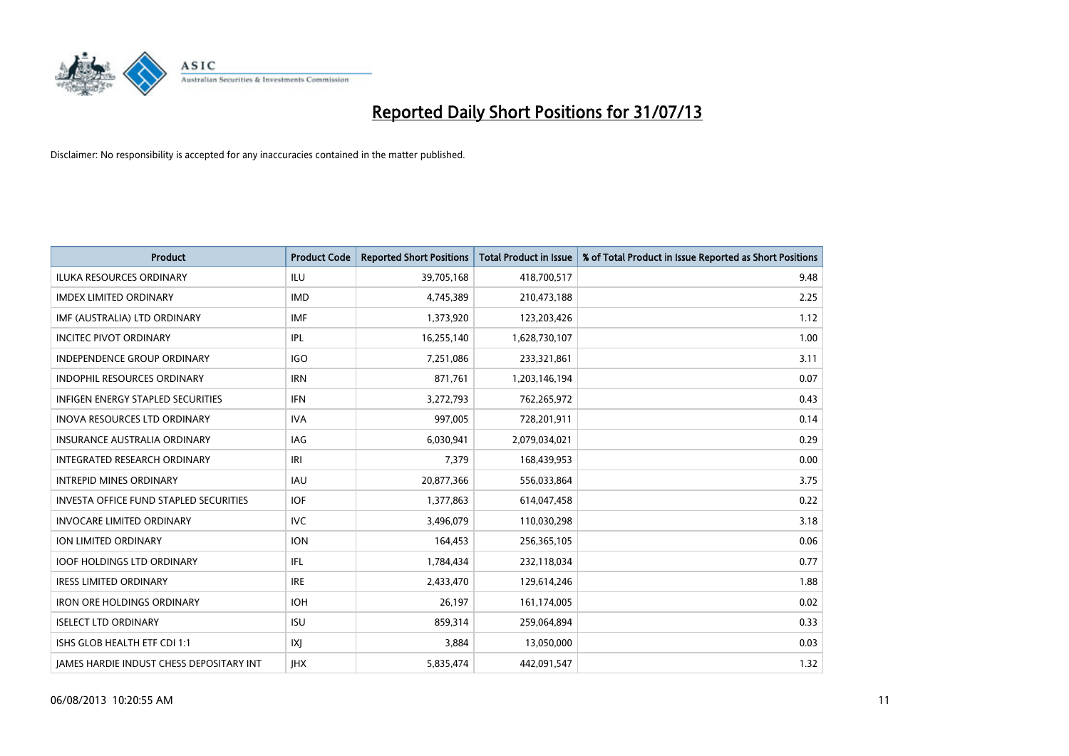

| Product                                       | <b>Product Code</b> | <b>Reported Short Positions</b> | <b>Total Product in Issue</b> | % of Total Product in Issue Reported as Short Positions |
|-----------------------------------------------|---------------------|---------------------------------|-------------------------------|---------------------------------------------------------|
| <b>ILUKA RESOURCES ORDINARY</b>               | ILU                 | 39,705,168                      | 418,700,517                   | 9.48                                                    |
| <b>IMDEX LIMITED ORDINARY</b>                 | <b>IMD</b>          | 4,745,389                       | 210,473,188                   | 2.25                                                    |
| IMF (AUSTRALIA) LTD ORDINARY                  | <b>IMF</b>          | 1,373,920                       | 123,203,426                   | 1.12                                                    |
| <b>INCITEC PIVOT ORDINARY</b>                 | IPL                 | 16,255,140                      | 1,628,730,107                 | 1.00                                                    |
| <b>INDEPENDENCE GROUP ORDINARY</b>            | <b>IGO</b>          | 7,251,086                       | 233,321,861                   | 3.11                                                    |
| <b>INDOPHIL RESOURCES ORDINARY</b>            | <b>IRN</b>          | 871,761                         | 1,203,146,194                 | 0.07                                                    |
| INFIGEN ENERGY STAPLED SECURITIES             | <b>IFN</b>          | 3,272,793                       | 762,265,972                   | 0.43                                                    |
| INOVA RESOURCES LTD ORDINARY                  | <b>IVA</b>          | 997,005                         | 728,201,911                   | 0.14                                                    |
| <b>INSURANCE AUSTRALIA ORDINARY</b>           | IAG                 | 6,030,941                       | 2,079,034,021                 | 0.29                                                    |
| INTEGRATED RESEARCH ORDINARY                  | IRI                 | 7,379                           | 168,439,953                   | 0.00                                                    |
| <b>INTREPID MINES ORDINARY</b>                | <b>IAU</b>          | 20,877,366                      | 556,033,864                   | 3.75                                                    |
| <b>INVESTA OFFICE FUND STAPLED SECURITIES</b> | IOF                 | 1,377,863                       | 614,047,458                   | 0.22                                                    |
| <b>INVOCARE LIMITED ORDINARY</b>              | <b>IVC</b>          | 3,496,079                       | 110,030,298                   | 3.18                                                    |
| <b>ION LIMITED ORDINARY</b>                   | <b>ION</b>          | 164,453                         | 256,365,105                   | 0.06                                                    |
| <b>IOOF HOLDINGS LTD ORDINARY</b>             | IFL                 | 1,784,434                       | 232,118,034                   | 0.77                                                    |
| <b>IRESS LIMITED ORDINARY</b>                 | <b>IRE</b>          | 2,433,470                       | 129,614,246                   | 1.88                                                    |
| <b>IRON ORE HOLDINGS ORDINARY</b>             | <b>IOH</b>          | 26,197                          | 161,174,005                   | 0.02                                                    |
| <b>ISELECT LTD ORDINARY</b>                   | <b>ISU</b>          | 859,314                         | 259,064,894                   | 0.33                                                    |
| ISHS GLOB HEALTH ETF CDI 1:1                  | IXJ                 | 3,884                           | 13,050,000                    | 0.03                                                    |
| JAMES HARDIE INDUST CHESS DEPOSITARY INT      | <b>IHX</b>          | 5,835,474                       | 442,091,547                   | 1.32                                                    |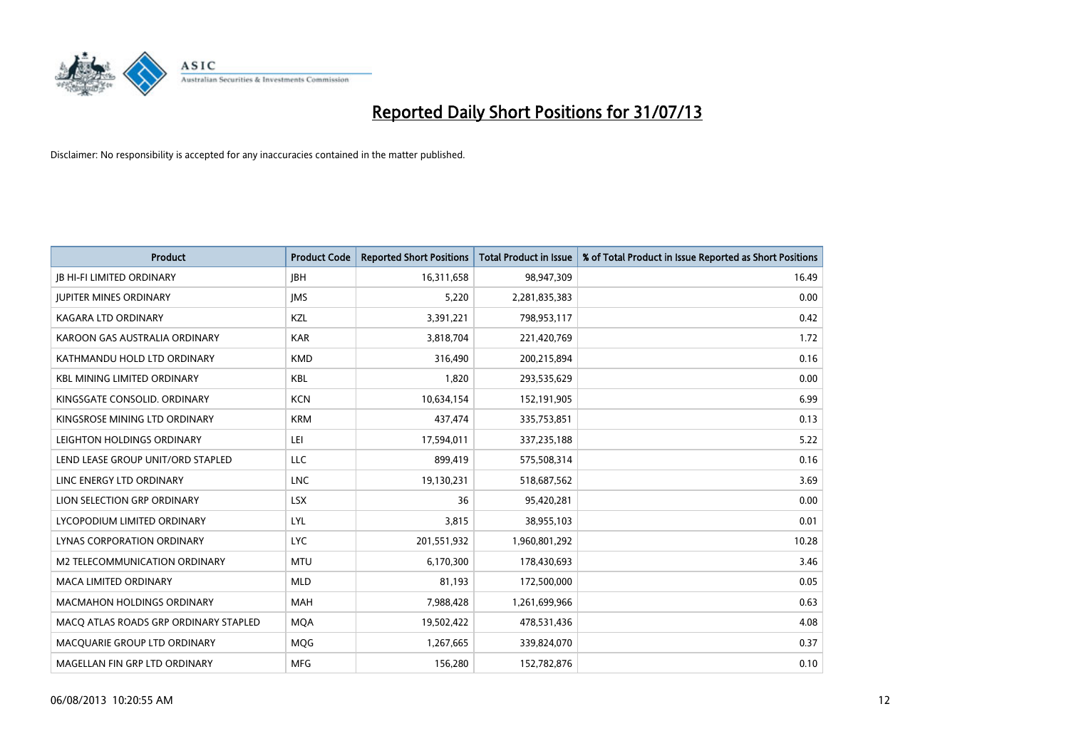

| <b>Product</b>                        | <b>Product Code</b> | <b>Reported Short Positions</b> | <b>Total Product in Issue</b> | % of Total Product in Issue Reported as Short Positions |
|---------------------------------------|---------------------|---------------------------------|-------------------------------|---------------------------------------------------------|
| <b>JB HI-FI LIMITED ORDINARY</b>      | <b>IBH</b>          | 16,311,658                      | 98,947,309                    | 16.49                                                   |
| <b>JUPITER MINES ORDINARY</b>         | <b>IMS</b>          | 5,220                           | 2,281,835,383                 | 0.00                                                    |
| <b>KAGARA LTD ORDINARY</b>            | KZL                 | 3,391,221                       | 798,953,117                   | 0.42                                                    |
| KAROON GAS AUSTRALIA ORDINARY         | <b>KAR</b>          | 3,818,704                       | 221,420,769                   | 1.72                                                    |
| KATHMANDU HOLD LTD ORDINARY           | <b>KMD</b>          | 316,490                         | 200,215,894                   | 0.16                                                    |
| <b>KBL MINING LIMITED ORDINARY</b>    | <b>KBL</b>          | 1,820                           | 293,535,629                   | 0.00                                                    |
| KINGSGATE CONSOLID. ORDINARY          | <b>KCN</b>          | 10,634,154                      | 152,191,905                   | 6.99                                                    |
| KINGSROSE MINING LTD ORDINARY         | <b>KRM</b>          | 437,474                         | 335,753,851                   | 0.13                                                    |
| LEIGHTON HOLDINGS ORDINARY            | LEI                 | 17,594,011                      | 337,235,188                   | 5.22                                                    |
| LEND LEASE GROUP UNIT/ORD STAPLED     | LLC                 | 899,419                         | 575,508,314                   | 0.16                                                    |
| LINC ENERGY LTD ORDINARY              | <b>LNC</b>          | 19,130,231                      | 518,687,562                   | 3.69                                                    |
| LION SELECTION GRP ORDINARY           | <b>LSX</b>          | 36                              | 95,420,281                    | 0.00                                                    |
| LYCOPODIUM LIMITED ORDINARY           | <b>LYL</b>          | 3,815                           | 38,955,103                    | 0.01                                                    |
| LYNAS CORPORATION ORDINARY            | <b>LYC</b>          | 201,551,932                     | 1,960,801,292                 | 10.28                                                   |
| M2 TELECOMMUNICATION ORDINARY         | <b>MTU</b>          | 6,170,300                       | 178,430,693                   | 3.46                                                    |
| MACA LIMITED ORDINARY                 | <b>MLD</b>          | 81,193                          | 172,500,000                   | 0.05                                                    |
| MACMAHON HOLDINGS ORDINARY            | MAH                 | 7,988,428                       | 1,261,699,966                 | 0.63                                                    |
| MACO ATLAS ROADS GRP ORDINARY STAPLED | <b>MOA</b>          | 19,502,422                      | 478,531,436                   | 4.08                                                    |
| MACQUARIE GROUP LTD ORDINARY          | <b>MOG</b>          | 1,267,665                       | 339,824,070                   | 0.37                                                    |
| MAGELLAN FIN GRP LTD ORDINARY         | <b>MFG</b>          | 156,280                         | 152,782,876                   | 0.10                                                    |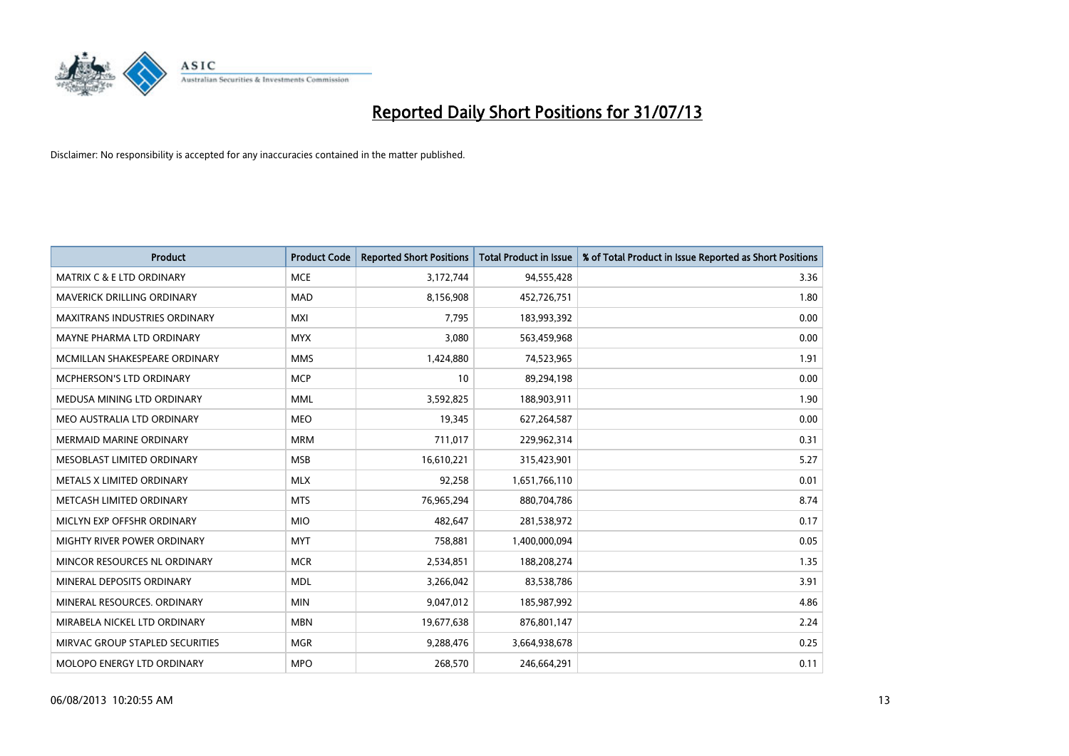

| <b>Product</b>                       | <b>Product Code</b> | <b>Reported Short Positions</b> | <b>Total Product in Issue</b> | % of Total Product in Issue Reported as Short Positions |
|--------------------------------------|---------------------|---------------------------------|-------------------------------|---------------------------------------------------------|
| <b>MATRIX C &amp; E LTD ORDINARY</b> | <b>MCE</b>          | 3,172,744                       | 94,555,428                    | 3.36                                                    |
| MAVERICK DRILLING ORDINARY           | <b>MAD</b>          | 8,156,908                       | 452,726,751                   | 1.80                                                    |
| <b>MAXITRANS INDUSTRIES ORDINARY</b> | <b>MXI</b>          | 7.795                           | 183,993,392                   | 0.00                                                    |
| MAYNE PHARMA LTD ORDINARY            | <b>MYX</b>          | 3,080                           | 563,459,968                   | 0.00                                                    |
| MCMILLAN SHAKESPEARE ORDINARY        | <b>MMS</b>          | 1,424,880                       | 74,523,965                    | 1.91                                                    |
| <b>MCPHERSON'S LTD ORDINARY</b>      | <b>MCP</b>          | 10                              | 89,294,198                    | 0.00                                                    |
| MEDUSA MINING LTD ORDINARY           | MML                 | 3,592,825                       | 188,903,911                   | 1.90                                                    |
| MEO AUSTRALIA LTD ORDINARY           | <b>MEO</b>          | 19,345                          | 627,264,587                   | 0.00                                                    |
| <b>MERMAID MARINE ORDINARY</b>       | <b>MRM</b>          | 711,017                         | 229,962,314                   | 0.31                                                    |
| MESOBLAST LIMITED ORDINARY           | <b>MSB</b>          | 16,610,221                      | 315,423,901                   | 5.27                                                    |
| METALS X LIMITED ORDINARY            | <b>MLX</b>          | 92,258                          | 1,651,766,110                 | 0.01                                                    |
| METCASH LIMITED ORDINARY             | <b>MTS</b>          | 76,965,294                      | 880,704,786                   | 8.74                                                    |
| MICLYN EXP OFFSHR ORDINARY           | <b>MIO</b>          | 482,647                         | 281,538,972                   | 0.17                                                    |
| MIGHTY RIVER POWER ORDINARY          | <b>MYT</b>          | 758,881                         | 1,400,000,094                 | 0.05                                                    |
| MINCOR RESOURCES NL ORDINARY         | <b>MCR</b>          | 2,534,851                       | 188,208,274                   | 1.35                                                    |
| MINERAL DEPOSITS ORDINARY            | <b>MDL</b>          | 3,266,042                       | 83,538,786                    | 3.91                                                    |
| MINERAL RESOURCES. ORDINARY          | <b>MIN</b>          | 9,047,012                       | 185,987,992                   | 4.86                                                    |
| MIRABELA NICKEL LTD ORDINARY         | <b>MBN</b>          | 19,677,638                      | 876,801,147                   | 2.24                                                    |
| MIRVAC GROUP STAPLED SECURITIES      | <b>MGR</b>          | 9,288,476                       | 3,664,938,678                 | 0.25                                                    |
| MOLOPO ENERGY LTD ORDINARY           | <b>MPO</b>          | 268,570                         | 246,664,291                   | 0.11                                                    |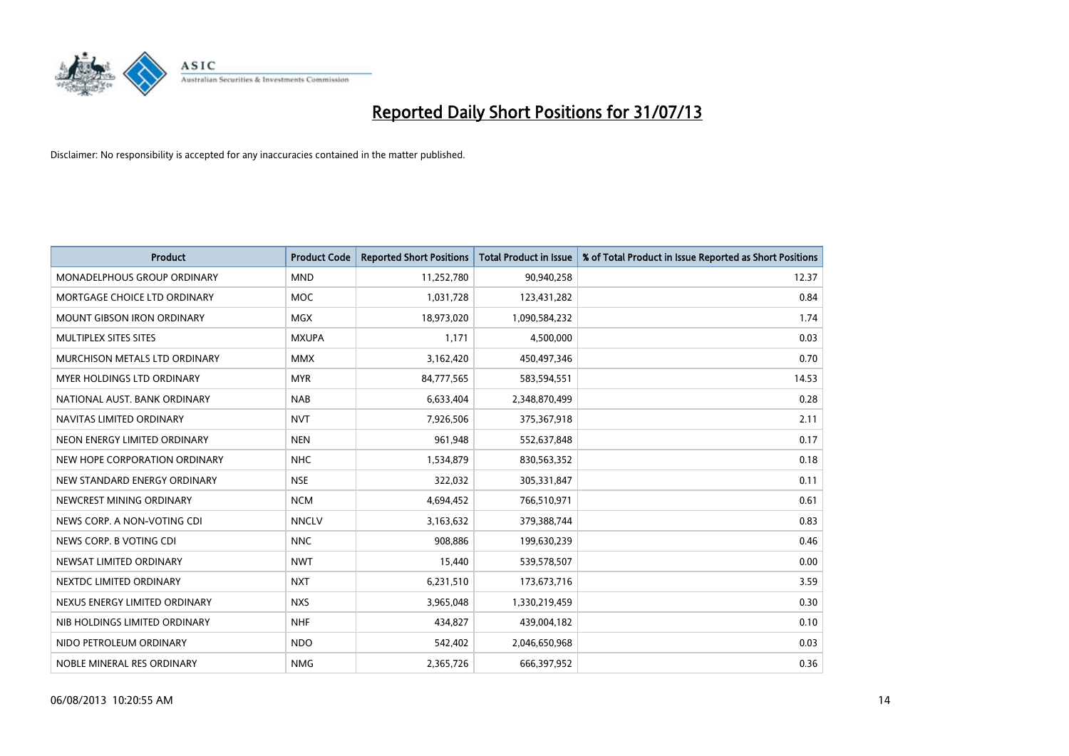

| <b>Product</b>                    | <b>Product Code</b> | <b>Reported Short Positions</b> | <b>Total Product in Issue</b> | % of Total Product in Issue Reported as Short Positions |
|-----------------------------------|---------------------|---------------------------------|-------------------------------|---------------------------------------------------------|
| MONADELPHOUS GROUP ORDINARY       | <b>MND</b>          | 11,252,780                      | 90,940,258                    | 12.37                                                   |
| MORTGAGE CHOICE LTD ORDINARY      | MOC                 | 1,031,728                       | 123,431,282                   | 0.84                                                    |
| <b>MOUNT GIBSON IRON ORDINARY</b> | <b>MGX</b>          | 18,973,020                      | 1,090,584,232                 | 1.74                                                    |
| MULTIPLEX SITES SITES             | <b>MXUPA</b>        | 1,171                           | 4,500,000                     | 0.03                                                    |
| MURCHISON METALS LTD ORDINARY     | <b>MMX</b>          | 3,162,420                       | 450,497,346                   | 0.70                                                    |
| MYER HOLDINGS LTD ORDINARY        | <b>MYR</b>          | 84,777,565                      | 583,594,551                   | 14.53                                                   |
| NATIONAL AUST. BANK ORDINARY      | <b>NAB</b>          | 6,633,404                       | 2,348,870,499                 | 0.28                                                    |
| NAVITAS LIMITED ORDINARY          | <b>NVT</b>          | 7,926,506                       | 375,367,918                   | 2.11                                                    |
| NEON ENERGY LIMITED ORDINARY      | <b>NEN</b>          | 961,948                         | 552,637,848                   | 0.17                                                    |
| NEW HOPE CORPORATION ORDINARY     | <b>NHC</b>          | 1,534,879                       | 830,563,352                   | 0.18                                                    |
| NEW STANDARD ENERGY ORDINARY      | <b>NSE</b>          | 322,032                         | 305,331,847                   | 0.11                                                    |
| NEWCREST MINING ORDINARY          | <b>NCM</b>          | 4,694,452                       | 766,510,971                   | 0.61                                                    |
| NEWS CORP. A NON-VOTING CDI       | <b>NNCLV</b>        | 3,163,632                       | 379,388,744                   | 0.83                                                    |
| NEWS CORP. B VOTING CDI           | <b>NNC</b>          | 908,886                         | 199,630,239                   | 0.46                                                    |
| NEWSAT LIMITED ORDINARY           | <b>NWT</b>          | 15,440                          | 539,578,507                   | 0.00                                                    |
| NEXTDC LIMITED ORDINARY           | <b>NXT</b>          | 6,231,510                       | 173,673,716                   | 3.59                                                    |
| NEXUS ENERGY LIMITED ORDINARY     | <b>NXS</b>          | 3,965,048                       | 1,330,219,459                 | 0.30                                                    |
| NIB HOLDINGS LIMITED ORDINARY     | <b>NHF</b>          | 434,827                         | 439,004,182                   | 0.10                                                    |
| NIDO PETROLEUM ORDINARY           | <b>NDO</b>          | 542,402                         | 2,046,650,968                 | 0.03                                                    |
| NOBLE MINERAL RES ORDINARY        | <b>NMG</b>          | 2,365,726                       | 666,397,952                   | 0.36                                                    |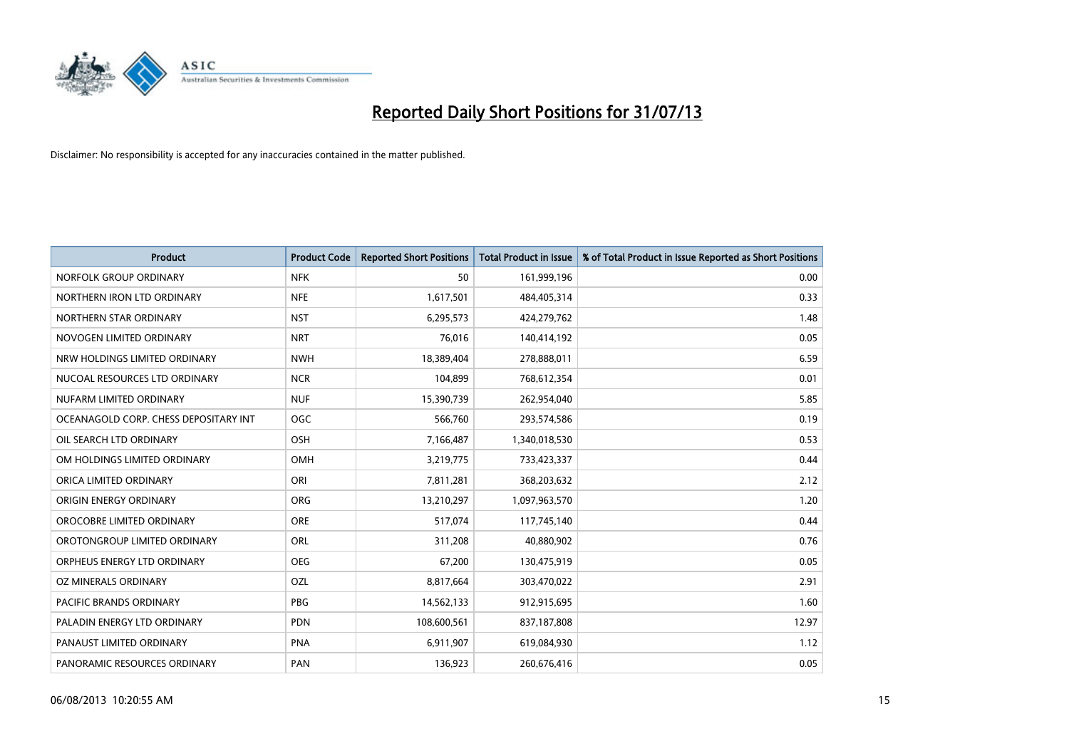

| <b>Product</b>                        | <b>Product Code</b> | <b>Reported Short Positions</b> | <b>Total Product in Issue</b> | % of Total Product in Issue Reported as Short Positions |
|---------------------------------------|---------------------|---------------------------------|-------------------------------|---------------------------------------------------------|
| NORFOLK GROUP ORDINARY                | <b>NFK</b>          | 50                              | 161,999,196                   | 0.00                                                    |
| NORTHERN IRON LTD ORDINARY            | <b>NFE</b>          | 1,617,501                       | 484,405,314                   | 0.33                                                    |
| NORTHERN STAR ORDINARY                | <b>NST</b>          | 6,295,573                       | 424,279,762                   | 1.48                                                    |
| NOVOGEN LIMITED ORDINARY              | <b>NRT</b>          | 76,016                          | 140,414,192                   | 0.05                                                    |
| NRW HOLDINGS LIMITED ORDINARY         | <b>NWH</b>          | 18,389,404                      | 278,888,011                   | 6.59                                                    |
| NUCOAL RESOURCES LTD ORDINARY         | <b>NCR</b>          | 104,899                         | 768,612,354                   | 0.01                                                    |
| NUFARM LIMITED ORDINARY               | <b>NUF</b>          | 15,390,739                      | 262,954,040                   | 5.85                                                    |
| OCEANAGOLD CORP. CHESS DEPOSITARY INT | <b>OGC</b>          | 566.760                         | 293,574,586                   | 0.19                                                    |
| OIL SEARCH LTD ORDINARY               | OSH                 | 7,166,487                       | 1,340,018,530                 | 0.53                                                    |
| OM HOLDINGS LIMITED ORDINARY          | <b>OMH</b>          | 3,219,775                       | 733,423,337                   | 0.44                                                    |
| ORICA LIMITED ORDINARY                | ORI                 | 7,811,281                       | 368,203,632                   | 2.12                                                    |
| ORIGIN ENERGY ORDINARY                | <b>ORG</b>          | 13,210,297                      | 1,097,963,570                 | 1.20                                                    |
| OROCOBRE LIMITED ORDINARY             | <b>ORE</b>          | 517,074                         | 117,745,140                   | 0.44                                                    |
| OROTONGROUP LIMITED ORDINARY          | ORL                 | 311,208                         | 40,880,902                    | 0.76                                                    |
| ORPHEUS ENERGY LTD ORDINARY           | <b>OEG</b>          | 67,200                          | 130,475,919                   | 0.05                                                    |
| OZ MINERALS ORDINARY                  | OZL                 | 8,817,664                       | 303,470,022                   | 2.91                                                    |
| PACIFIC BRANDS ORDINARY               | PBG                 | 14,562,133                      | 912,915,695                   | 1.60                                                    |
| PALADIN ENERGY LTD ORDINARY           | <b>PDN</b>          | 108,600,561                     | 837,187,808                   | 12.97                                                   |
| PANAUST LIMITED ORDINARY              | <b>PNA</b>          | 6,911,907                       | 619,084,930                   | 1.12                                                    |
| PANORAMIC RESOURCES ORDINARY          | PAN                 | 136,923                         | 260,676,416                   | 0.05                                                    |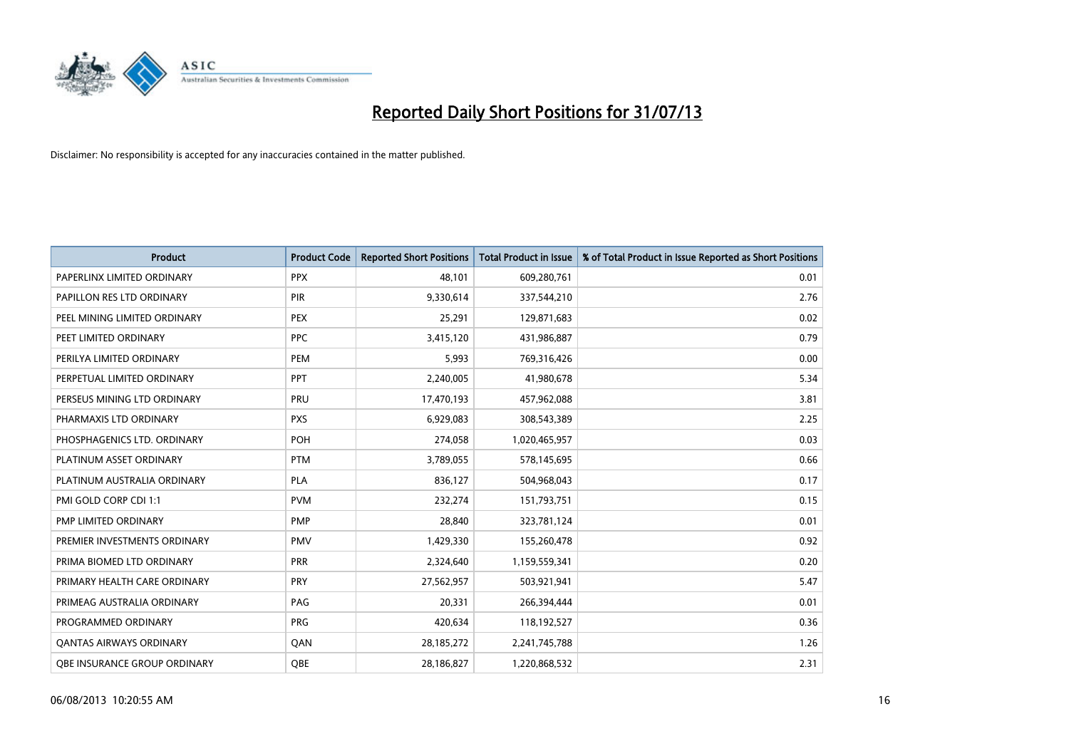

| <b>Product</b>                      | <b>Product Code</b> | <b>Reported Short Positions</b> | <b>Total Product in Issue</b> | % of Total Product in Issue Reported as Short Positions |
|-------------------------------------|---------------------|---------------------------------|-------------------------------|---------------------------------------------------------|
| PAPERLINX LIMITED ORDINARY          | <b>PPX</b>          | 48,101                          | 609,280,761                   | 0.01                                                    |
| PAPILLON RES LTD ORDINARY           | PIR                 | 9,330,614                       | 337,544,210                   | 2.76                                                    |
| PEEL MINING LIMITED ORDINARY        | <b>PEX</b>          | 25,291                          | 129,871,683                   | 0.02                                                    |
| PEET LIMITED ORDINARY               | <b>PPC</b>          | 3,415,120                       | 431,986,887                   | 0.79                                                    |
| PERILYA LIMITED ORDINARY            | PEM                 | 5,993                           | 769,316,426                   | 0.00                                                    |
| PERPETUAL LIMITED ORDINARY          | <b>PPT</b>          | 2,240,005                       | 41,980,678                    | 5.34                                                    |
| PERSEUS MINING LTD ORDINARY         | <b>PRU</b>          | 17,470,193                      | 457,962,088                   | 3.81                                                    |
| PHARMAXIS LTD ORDINARY              | <b>PXS</b>          | 6,929,083                       | 308,543,389                   | 2.25                                                    |
| PHOSPHAGENICS LTD. ORDINARY         | POH                 | 274,058                         | 1,020,465,957                 | 0.03                                                    |
| PLATINUM ASSET ORDINARY             | <b>PTM</b>          | 3,789,055                       | 578,145,695                   | 0.66                                                    |
| PLATINUM AUSTRALIA ORDINARY         | PLA                 | 836,127                         | 504,968,043                   | 0.17                                                    |
| PMI GOLD CORP CDI 1:1               | <b>PVM</b>          | 232,274                         | 151,793,751                   | 0.15                                                    |
| PMP LIMITED ORDINARY                | <b>PMP</b>          | 28,840                          | 323,781,124                   | 0.01                                                    |
| PREMIER INVESTMENTS ORDINARY        | <b>PMV</b>          | 1,429,330                       | 155,260,478                   | 0.92                                                    |
| PRIMA BIOMED LTD ORDINARY           | <b>PRR</b>          | 2,324,640                       | 1,159,559,341                 | 0.20                                                    |
| PRIMARY HEALTH CARE ORDINARY        | <b>PRY</b>          | 27,562,957                      | 503,921,941                   | 5.47                                                    |
| PRIMEAG AUSTRALIA ORDINARY          | PAG                 | 20,331                          | 266,394,444                   | 0.01                                                    |
| PROGRAMMED ORDINARY                 | <b>PRG</b>          | 420,634                         | 118,192,527                   | 0.36                                                    |
| <b>QANTAS AIRWAYS ORDINARY</b>      | QAN                 | 28,185,272                      | 2,241,745,788                 | 1.26                                                    |
| <b>QBE INSURANCE GROUP ORDINARY</b> | OBE                 | 28,186,827                      | 1,220,868,532                 | 2.31                                                    |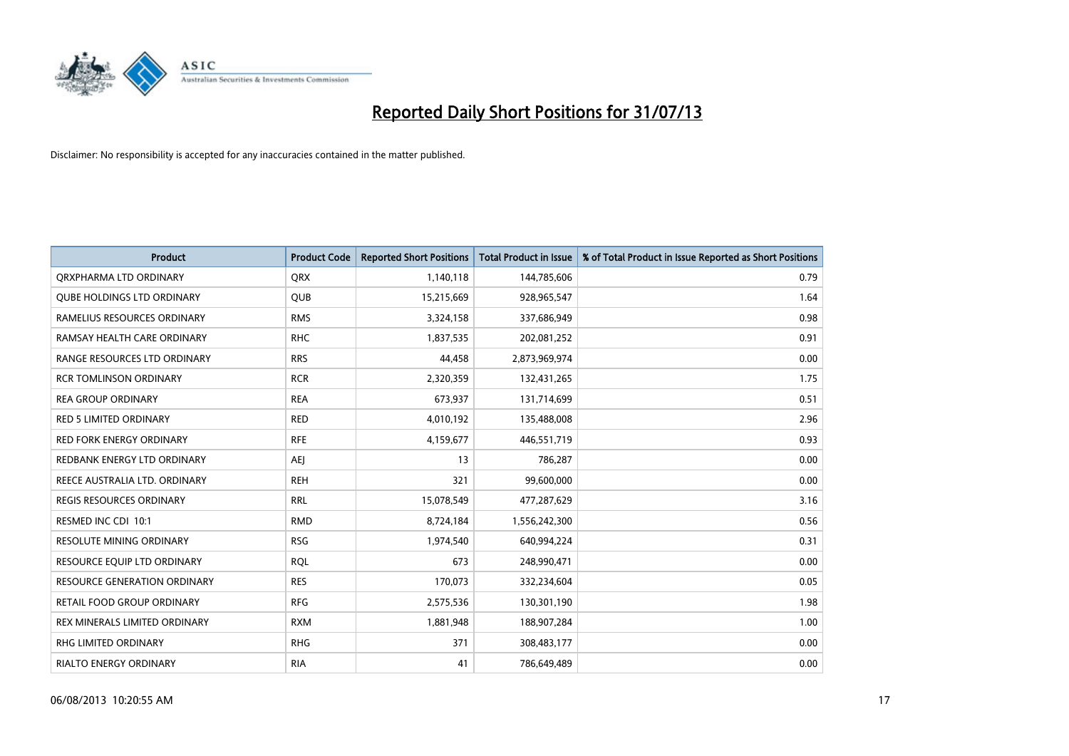

| <b>Product</b>                      | <b>Product Code</b> | <b>Reported Short Positions</b> | <b>Total Product in Issue</b> | % of Total Product in Issue Reported as Short Positions |
|-------------------------------------|---------------------|---------------------------------|-------------------------------|---------------------------------------------------------|
| ORXPHARMA LTD ORDINARY              | <b>QRX</b>          | 1,140,118                       | 144,785,606                   | 0.79                                                    |
| <b>QUBE HOLDINGS LTD ORDINARY</b>   | <b>QUB</b>          | 15,215,669                      | 928,965,547                   | 1.64                                                    |
| RAMELIUS RESOURCES ORDINARY         | <b>RMS</b>          | 3,324,158                       | 337,686,949                   | 0.98                                                    |
| RAMSAY HEALTH CARE ORDINARY         | <b>RHC</b>          | 1,837,535                       | 202,081,252                   | 0.91                                                    |
| RANGE RESOURCES LTD ORDINARY        | <b>RRS</b>          | 44,458                          | 2,873,969,974                 | 0.00                                                    |
| <b>RCR TOMLINSON ORDINARY</b>       | <b>RCR</b>          | 2,320,359                       | 132,431,265                   | 1.75                                                    |
| <b>REA GROUP ORDINARY</b>           | <b>REA</b>          | 673,937                         | 131,714,699                   | 0.51                                                    |
| RED 5 LIMITED ORDINARY              | <b>RED</b>          | 4,010,192                       | 135,488,008                   | 2.96                                                    |
| <b>RED FORK ENERGY ORDINARY</b>     | <b>RFE</b>          | 4,159,677                       | 446,551,719                   | 0.93                                                    |
| REDBANK ENERGY LTD ORDINARY         | AEJ                 | 13                              | 786,287                       | 0.00                                                    |
| REECE AUSTRALIA LTD. ORDINARY       | <b>REH</b>          | 321                             | 99,600,000                    | 0.00                                                    |
| <b>REGIS RESOURCES ORDINARY</b>     | <b>RRL</b>          | 15,078,549                      | 477,287,629                   | 3.16                                                    |
| RESMED INC CDI 10:1                 | <b>RMD</b>          | 8,724,184                       | 1,556,242,300                 | 0.56                                                    |
| <b>RESOLUTE MINING ORDINARY</b>     | <b>RSG</b>          | 1,974,540                       | 640,994,224                   | 0.31                                                    |
| RESOURCE EQUIP LTD ORDINARY         | <b>RQL</b>          | 673                             | 248,990,471                   | 0.00                                                    |
| <b>RESOURCE GENERATION ORDINARY</b> | <b>RES</b>          | 170,073                         | 332,234,604                   | 0.05                                                    |
| RETAIL FOOD GROUP ORDINARY          | <b>RFG</b>          | 2,575,536                       | 130,301,190                   | 1.98                                                    |
| REX MINERALS LIMITED ORDINARY       | <b>RXM</b>          | 1,881,948                       | 188,907,284                   | 1.00                                                    |
| RHG LIMITED ORDINARY                | <b>RHG</b>          | 371                             | 308,483,177                   | 0.00                                                    |
| <b>RIALTO ENERGY ORDINARY</b>       | <b>RIA</b>          | 41                              | 786,649,489                   | 0.00                                                    |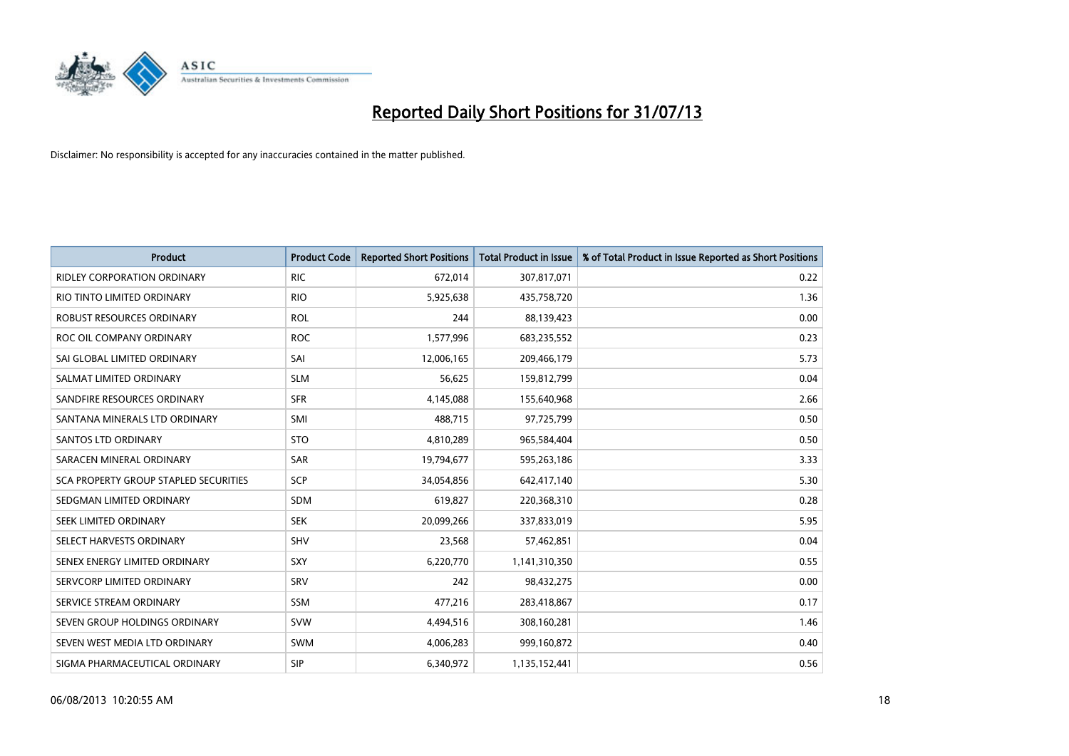

| <b>Product</b>                        | <b>Product Code</b> | <b>Reported Short Positions</b> | <b>Total Product in Issue</b> | % of Total Product in Issue Reported as Short Positions |
|---------------------------------------|---------------------|---------------------------------|-------------------------------|---------------------------------------------------------|
| <b>RIDLEY CORPORATION ORDINARY</b>    | <b>RIC</b>          | 672,014                         | 307,817,071                   | 0.22                                                    |
| RIO TINTO LIMITED ORDINARY            | <b>RIO</b>          | 5,925,638                       | 435,758,720                   | 1.36                                                    |
| ROBUST RESOURCES ORDINARY             | <b>ROL</b>          | 244                             | 88,139,423                    | 0.00                                                    |
| ROC OIL COMPANY ORDINARY              | <b>ROC</b>          | 1,577,996                       | 683,235,552                   | 0.23                                                    |
| SAI GLOBAL LIMITED ORDINARY           | SAI                 | 12,006,165                      | 209,466,179                   | 5.73                                                    |
| SALMAT LIMITED ORDINARY               | <b>SLM</b>          | 56,625                          | 159,812,799                   | 0.04                                                    |
| SANDFIRE RESOURCES ORDINARY           | <b>SFR</b>          | 4,145,088                       | 155,640,968                   | 2.66                                                    |
| SANTANA MINERALS LTD ORDINARY         | SMI                 | 488,715                         | 97,725,799                    | 0.50                                                    |
| SANTOS LTD ORDINARY                   | <b>STO</b>          | 4,810,289                       | 965,584,404                   | 0.50                                                    |
| SARACEN MINERAL ORDINARY              | SAR                 | 19,794,677                      | 595,263,186                   | 3.33                                                    |
| SCA PROPERTY GROUP STAPLED SECURITIES | SCP                 | 34,054,856                      | 642,417,140                   | 5.30                                                    |
| SEDGMAN LIMITED ORDINARY              | <b>SDM</b>          | 619,827                         | 220,368,310                   | 0.28                                                    |
| SEEK LIMITED ORDINARY                 | <b>SEK</b>          | 20,099,266                      | 337,833,019                   | 5.95                                                    |
| SELECT HARVESTS ORDINARY              | SHV                 | 23,568                          | 57,462,851                    | 0.04                                                    |
| SENEX ENERGY LIMITED ORDINARY         | <b>SXY</b>          | 6,220,770                       | 1,141,310,350                 | 0.55                                                    |
| SERVCORP LIMITED ORDINARY             | SRV                 | 242                             | 98,432,275                    | 0.00                                                    |
| SERVICE STREAM ORDINARY               | SSM                 | 477,216                         | 283,418,867                   | 0.17                                                    |
| SEVEN GROUP HOLDINGS ORDINARY         | <b>SVW</b>          | 4,494,516                       | 308,160,281                   | 1.46                                                    |
| SEVEN WEST MEDIA LTD ORDINARY         | <b>SWM</b>          | 4,006,283                       | 999,160,872                   | 0.40                                                    |
| SIGMA PHARMACEUTICAL ORDINARY         | <b>SIP</b>          | 6,340,972                       | 1,135,152,441                 | 0.56                                                    |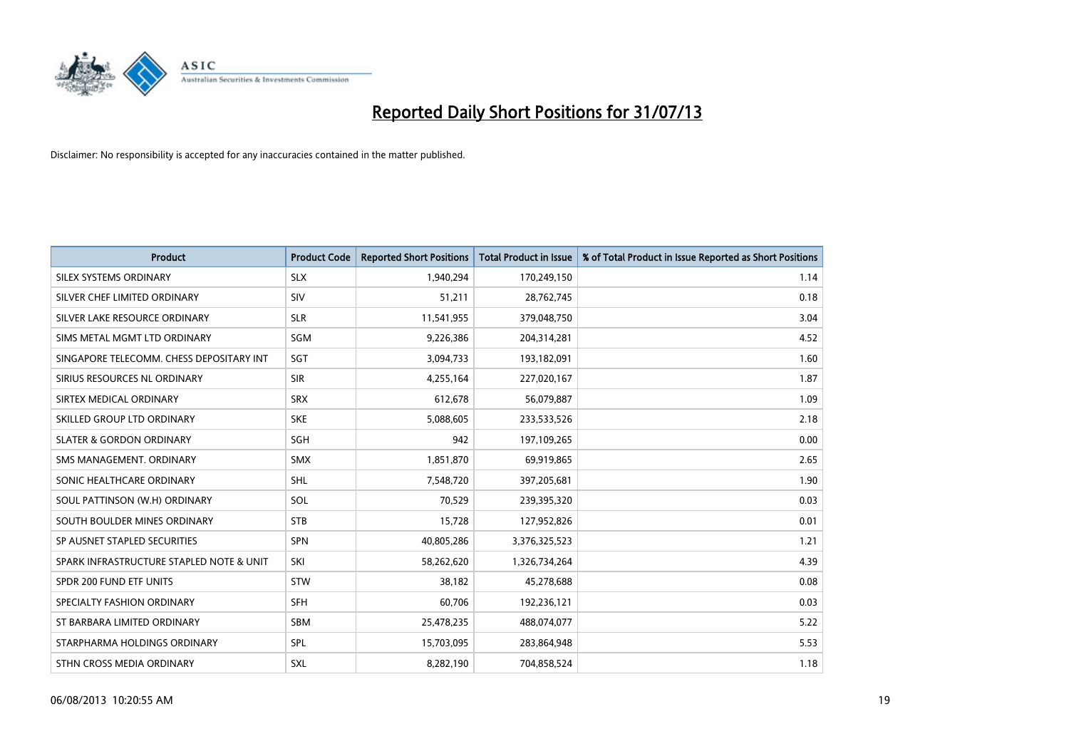

| <b>Product</b>                           | <b>Product Code</b> | <b>Reported Short Positions</b> | <b>Total Product in Issue</b> | % of Total Product in Issue Reported as Short Positions |
|------------------------------------------|---------------------|---------------------------------|-------------------------------|---------------------------------------------------------|
| SILEX SYSTEMS ORDINARY                   | <b>SLX</b>          | 1,940,294                       | 170,249,150                   | 1.14                                                    |
| SILVER CHEF LIMITED ORDINARY             | <b>SIV</b>          | 51,211                          | 28,762,745                    | 0.18                                                    |
| SILVER LAKE RESOURCE ORDINARY            | <b>SLR</b>          | 11,541,955                      | 379,048,750                   | 3.04                                                    |
| SIMS METAL MGMT LTD ORDINARY             | SGM                 | 9,226,386                       | 204,314,281                   | 4.52                                                    |
| SINGAPORE TELECOMM. CHESS DEPOSITARY INT | SGT                 | 3,094,733                       | 193,182,091                   | 1.60                                                    |
| SIRIUS RESOURCES NL ORDINARY             | <b>SIR</b>          | 4,255,164                       | 227,020,167                   | 1.87                                                    |
| SIRTEX MEDICAL ORDINARY                  | <b>SRX</b>          | 612,678                         | 56,079,887                    | 1.09                                                    |
| SKILLED GROUP LTD ORDINARY               | <b>SKE</b>          | 5,088,605                       | 233,533,526                   | 2.18                                                    |
| <b>SLATER &amp; GORDON ORDINARY</b>      | SGH                 | 942                             | 197,109,265                   | 0.00                                                    |
| SMS MANAGEMENT, ORDINARY                 | <b>SMX</b>          | 1,851,870                       | 69,919,865                    | 2.65                                                    |
| SONIC HEALTHCARE ORDINARY                | <b>SHL</b>          | 7,548,720                       | 397,205,681                   | 1.90                                                    |
| SOUL PATTINSON (W.H) ORDINARY            | SOL                 | 70,529                          | 239,395,320                   | 0.03                                                    |
| SOUTH BOULDER MINES ORDINARY             | <b>STB</b>          | 15,728                          | 127,952,826                   | 0.01                                                    |
| SP AUSNET STAPLED SECURITIES             | SPN                 | 40,805,286                      | 3,376,325,523                 | 1.21                                                    |
| SPARK INFRASTRUCTURE STAPLED NOTE & UNIT | SKI                 | 58,262,620                      | 1,326,734,264                 | 4.39                                                    |
| SPDR 200 FUND ETF UNITS                  | <b>STW</b>          | 38,182                          | 45,278,688                    | 0.08                                                    |
| SPECIALTY FASHION ORDINARY               | <b>SFH</b>          | 60,706                          | 192,236,121                   | 0.03                                                    |
| ST BARBARA LIMITED ORDINARY              | <b>SBM</b>          | 25,478,235                      | 488,074,077                   | 5.22                                                    |
| STARPHARMA HOLDINGS ORDINARY             | <b>SPL</b>          | 15,703,095                      | 283,864,948                   | 5.53                                                    |
| STHN CROSS MEDIA ORDINARY                | <b>SXL</b>          | 8,282,190                       | 704,858,524                   | 1.18                                                    |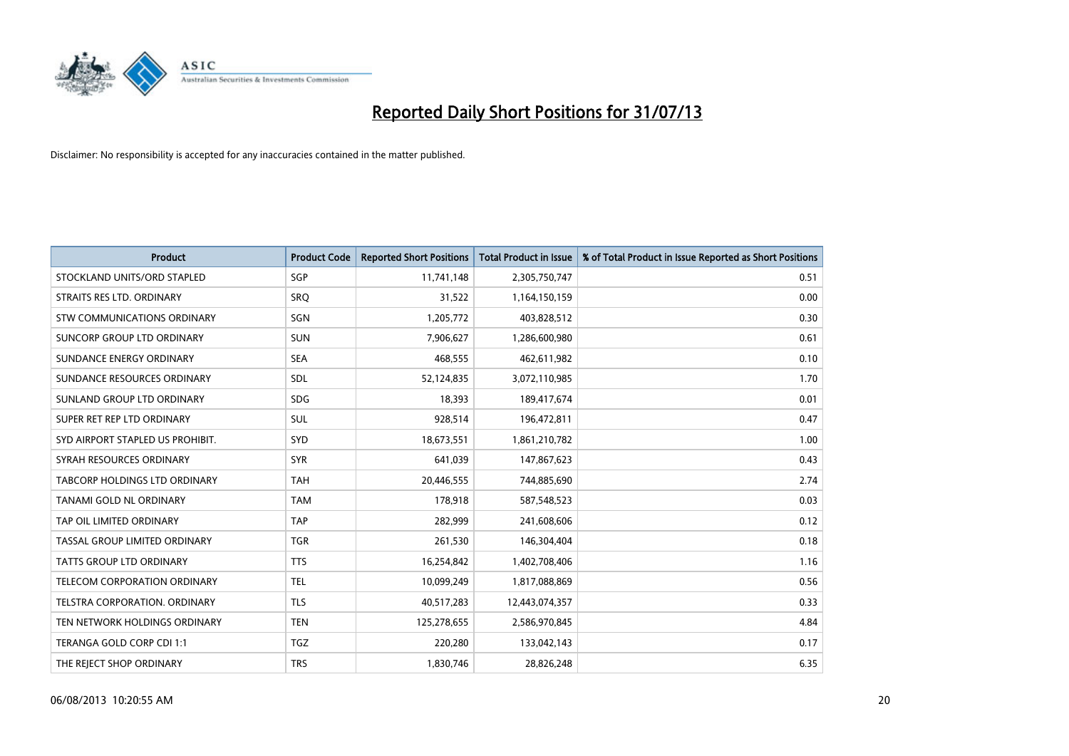

| <b>Product</b>                   | <b>Product Code</b> | <b>Reported Short Positions</b> | <b>Total Product in Issue</b> | % of Total Product in Issue Reported as Short Positions |
|----------------------------------|---------------------|---------------------------------|-------------------------------|---------------------------------------------------------|
| STOCKLAND UNITS/ORD STAPLED      | SGP                 | 11,741,148                      | 2,305,750,747                 | 0.51                                                    |
| STRAITS RES LTD. ORDINARY        | <b>SRQ</b>          | 31,522                          | 1,164,150,159                 | 0.00                                                    |
| STW COMMUNICATIONS ORDINARY      | SGN                 | 1,205,772                       | 403,828,512                   | 0.30                                                    |
| SUNCORP GROUP LTD ORDINARY       | <b>SUN</b>          | 7,906,627                       | 1,286,600,980                 | 0.61                                                    |
| SUNDANCE ENERGY ORDINARY         | <b>SEA</b>          | 468,555                         | 462,611,982                   | 0.10                                                    |
| SUNDANCE RESOURCES ORDINARY      | SDL                 | 52,124,835                      | 3,072,110,985                 | 1.70                                                    |
| SUNLAND GROUP LTD ORDINARY       | <b>SDG</b>          | 18,393                          | 189,417,674                   | 0.01                                                    |
| SUPER RET REP LTD ORDINARY       | SUL                 | 928,514                         | 196,472,811                   | 0.47                                                    |
| SYD AIRPORT STAPLED US PROHIBIT. | SYD                 | 18,673,551                      | 1,861,210,782                 | 1.00                                                    |
| SYRAH RESOURCES ORDINARY         | <b>SYR</b>          | 641,039                         | 147,867,623                   | 0.43                                                    |
| TABCORP HOLDINGS LTD ORDINARY    | <b>TAH</b>          | 20,446,555                      | 744,885,690                   | 2.74                                                    |
| TANAMI GOLD NL ORDINARY          | <b>TAM</b>          | 178,918                         | 587,548,523                   | 0.03                                                    |
| TAP OIL LIMITED ORDINARY         | <b>TAP</b>          | 282,999                         | 241,608,606                   | 0.12                                                    |
| TASSAL GROUP LIMITED ORDINARY    | <b>TGR</b>          | 261,530                         | 146,304,404                   | 0.18                                                    |
| <b>TATTS GROUP LTD ORDINARY</b>  | <b>TTS</b>          | 16,254,842                      | 1,402,708,406                 | 1.16                                                    |
| TELECOM CORPORATION ORDINARY     | <b>TEL</b>          | 10,099,249                      | 1,817,088,869                 | 0.56                                                    |
| TELSTRA CORPORATION. ORDINARY    | <b>TLS</b>          | 40,517,283                      | 12,443,074,357                | 0.33                                                    |
| TEN NETWORK HOLDINGS ORDINARY    | <b>TEN</b>          | 125,278,655                     | 2,586,970,845                 | 4.84                                                    |
| TERANGA GOLD CORP CDI 1:1        | <b>TGZ</b>          | 220,280                         | 133,042,143                   | 0.17                                                    |
| THE REJECT SHOP ORDINARY         | <b>TRS</b>          | 1,830,746                       | 28,826,248                    | 6.35                                                    |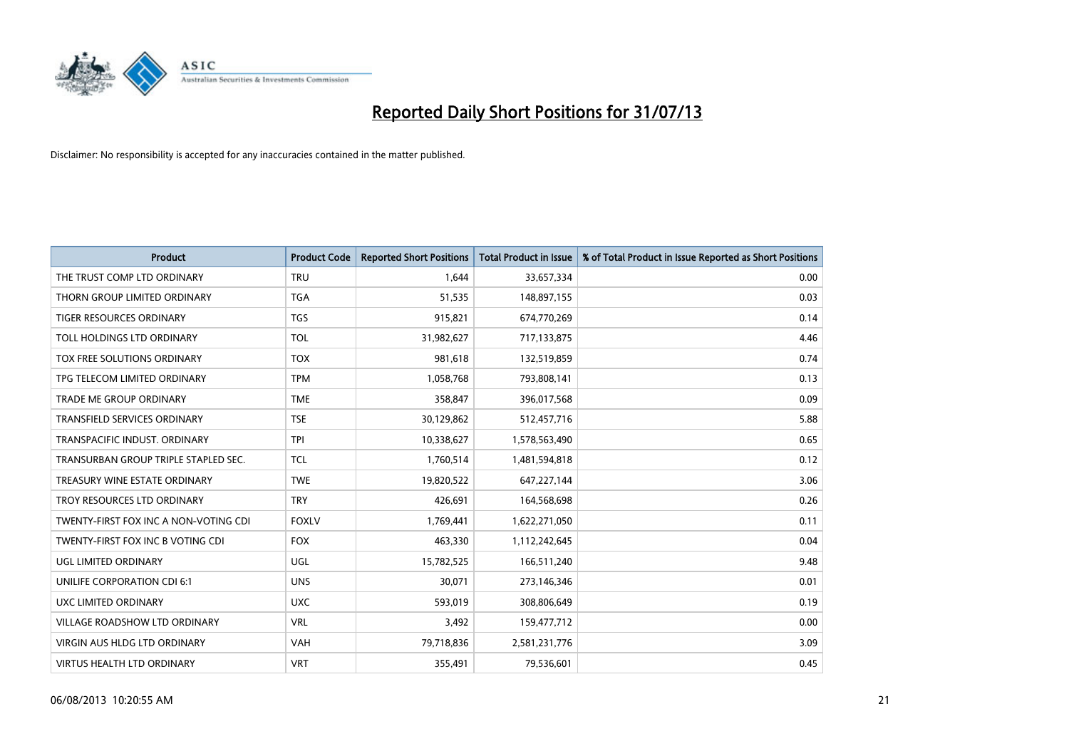

| <b>Product</b>                        | <b>Product Code</b> | <b>Reported Short Positions</b> | <b>Total Product in Issue</b> | % of Total Product in Issue Reported as Short Positions |
|---------------------------------------|---------------------|---------------------------------|-------------------------------|---------------------------------------------------------|
| THE TRUST COMP LTD ORDINARY           | <b>TRU</b>          | 1,644                           | 33,657,334                    | 0.00                                                    |
| THORN GROUP LIMITED ORDINARY          | <b>TGA</b>          | 51,535                          | 148,897,155                   | 0.03                                                    |
| TIGER RESOURCES ORDINARY              | <b>TGS</b>          | 915,821                         | 674,770,269                   | 0.14                                                    |
| TOLL HOLDINGS LTD ORDINARY            | <b>TOL</b>          | 31,982,627                      | 717,133,875                   | 4.46                                                    |
| TOX FREE SOLUTIONS ORDINARY           | <b>TOX</b>          | 981,618                         | 132,519,859                   | 0.74                                                    |
| TPG TELECOM LIMITED ORDINARY          | <b>TPM</b>          | 1,058,768                       | 793,808,141                   | 0.13                                                    |
| TRADE ME GROUP ORDINARY               | <b>TME</b>          | 358,847                         | 396,017,568                   | 0.09                                                    |
| TRANSFIELD SERVICES ORDINARY          | <b>TSE</b>          | 30,129,862                      | 512,457,716                   | 5.88                                                    |
| TRANSPACIFIC INDUST, ORDINARY         | <b>TPI</b>          | 10,338,627                      | 1,578,563,490                 | 0.65                                                    |
| TRANSURBAN GROUP TRIPLE STAPLED SEC.  | <b>TCL</b>          | 1,760,514                       | 1,481,594,818                 | 0.12                                                    |
| TREASURY WINE ESTATE ORDINARY         | <b>TWE</b>          | 19,820,522                      | 647,227,144                   | 3.06                                                    |
| TROY RESOURCES LTD ORDINARY           | <b>TRY</b>          | 426,691                         | 164,568,698                   | 0.26                                                    |
| TWENTY-FIRST FOX INC A NON-VOTING CDI | <b>FOXLV</b>        | 1,769,441                       | 1,622,271,050                 | 0.11                                                    |
| TWENTY-FIRST FOX INC B VOTING CDI     | <b>FOX</b>          | 463,330                         | 1,112,242,645                 | 0.04                                                    |
| UGL LIMITED ORDINARY                  | UGL                 | 15,782,525                      | 166,511,240                   | 9.48                                                    |
| UNILIFE CORPORATION CDI 6:1           | <b>UNS</b>          | 30,071                          | 273,146,346                   | 0.01                                                    |
| <b>UXC LIMITED ORDINARY</b>           | <b>UXC</b>          | 593,019                         | 308,806,649                   | 0.19                                                    |
| VILLAGE ROADSHOW LTD ORDINARY         | <b>VRL</b>          | 3,492                           | 159,477,712                   | 0.00                                                    |
| VIRGIN AUS HLDG LTD ORDINARY          | <b>VAH</b>          | 79,718,836                      | 2,581,231,776                 | 3.09                                                    |
| <b>VIRTUS HEALTH LTD ORDINARY</b>     | <b>VRT</b>          | 355,491                         | 79,536,601                    | 0.45                                                    |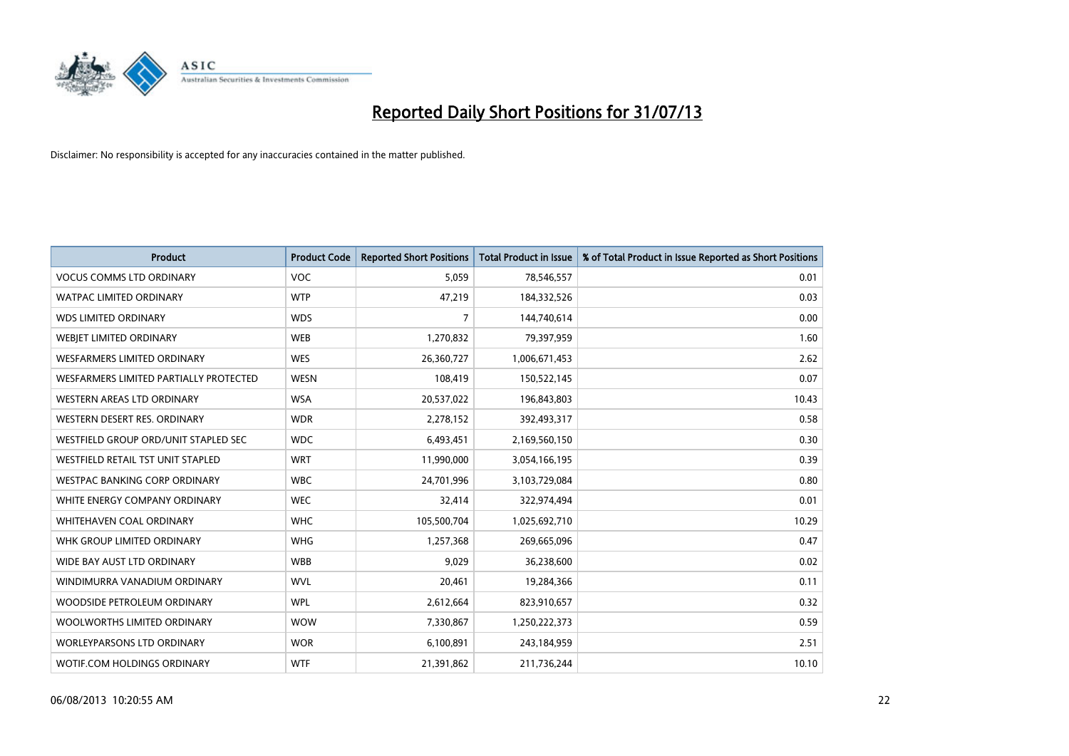

| <b>Product</b>                         | <b>Product Code</b> | <b>Reported Short Positions</b> | <b>Total Product in Issue</b> | % of Total Product in Issue Reported as Short Positions |
|----------------------------------------|---------------------|---------------------------------|-------------------------------|---------------------------------------------------------|
| <b>VOCUS COMMS LTD ORDINARY</b>        | <b>VOC</b>          | 5,059                           | 78,546,557                    | 0.01                                                    |
| <b>WATPAC LIMITED ORDINARY</b>         | <b>WTP</b>          | 47,219                          | 184,332,526                   | 0.03                                                    |
| <b>WDS LIMITED ORDINARY</b>            | <b>WDS</b>          | $\overline{7}$                  | 144,740,614                   | 0.00                                                    |
| WEBIET LIMITED ORDINARY                | <b>WEB</b>          | 1,270,832                       | 79,397,959                    | 1.60                                                    |
| <b>WESFARMERS LIMITED ORDINARY</b>     | <b>WES</b>          | 26,360,727                      | 1,006,671,453                 | 2.62                                                    |
| WESFARMERS LIMITED PARTIALLY PROTECTED | <b>WESN</b>         | 108,419                         | 150,522,145                   | 0.07                                                    |
| WESTERN AREAS LTD ORDINARY             | <b>WSA</b>          | 20,537,022                      | 196,843,803                   | 10.43                                                   |
| WESTERN DESERT RES. ORDINARY           | <b>WDR</b>          | 2,278,152                       | 392,493,317                   | 0.58                                                    |
| WESTFIELD GROUP ORD/UNIT STAPLED SEC   | <b>WDC</b>          | 6,493,451                       | 2,169,560,150                 | 0.30                                                    |
| WESTFIELD RETAIL TST UNIT STAPLED      | <b>WRT</b>          | 11,990,000                      | 3,054,166,195                 | 0.39                                                    |
| <b>WESTPAC BANKING CORP ORDINARY</b>   | <b>WBC</b>          | 24,701,996                      | 3,103,729,084                 | 0.80                                                    |
| WHITE ENERGY COMPANY ORDINARY          | <b>WEC</b>          | 32,414                          | 322,974,494                   | 0.01                                                    |
| WHITEHAVEN COAL ORDINARY               | <b>WHC</b>          | 105,500,704                     | 1,025,692,710                 | 10.29                                                   |
| WHK GROUP LIMITED ORDINARY             | <b>WHG</b>          | 1,257,368                       | 269,665,096                   | 0.47                                                    |
| WIDE BAY AUST LTD ORDINARY             | <b>WBB</b>          | 9,029                           | 36,238,600                    | 0.02                                                    |
| WINDIMURRA VANADIUM ORDINARY           | <b>WVL</b>          | 20,461                          | 19,284,366                    | 0.11                                                    |
| WOODSIDE PETROLEUM ORDINARY            | <b>WPL</b>          | 2,612,664                       | 823,910,657                   | 0.32                                                    |
| WOOLWORTHS LIMITED ORDINARY            | <b>WOW</b>          | 7,330,867                       | 1,250,222,373                 | 0.59                                                    |
| <b>WORLEYPARSONS LTD ORDINARY</b>      | <b>WOR</b>          | 6,100,891                       | 243,184,959                   | 2.51                                                    |
| WOTIF.COM HOLDINGS ORDINARY            | <b>WTF</b>          | 21,391,862                      | 211,736,244                   | 10.10                                                   |